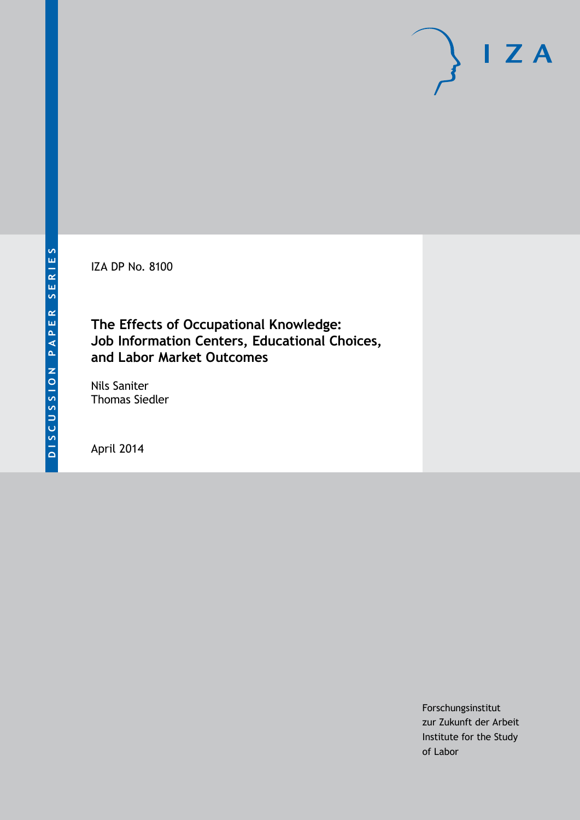IZA DP No. 8100

# **The Effects of Occupational Knowledge: Job Information Centers, Educational Choices, and Labor Market Outcomes**

Nils Saniter Thomas Siedler

April 2014

Forschungsinstitut zur Zukunft der Arbeit Institute for the Study of Labor

 $I Z A$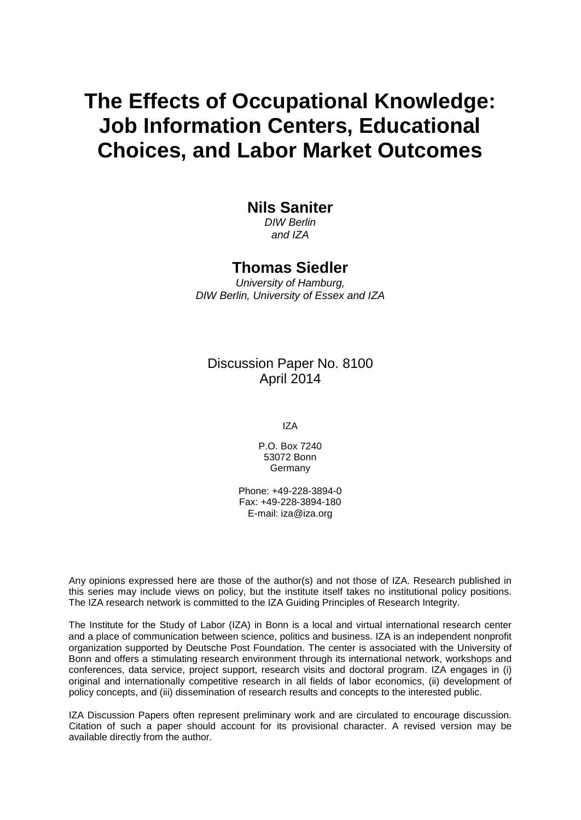# **The Effects of Occupational Knowledge: Job Information Centers, Educational Choices, and Labor Market Outcomes**

# **Nils Saniter**

*DIW Berlin and IZA*

# **Thomas Siedler**

*University of Hamburg, DIW Berlin, University of Essex and IZA*

# Discussion Paper No. 8100 April 2014

IZA

P.O. Box 7240 53072 Bonn **Germany** 

Phone: +49-228-3894-0 Fax: +49-228-3894-180 E-mail: [iza@iza.org](mailto:iza@iza.org)

Any opinions expressed here are those of the author(s) and not those of IZA. Research published in this series may include views on policy, but the institute itself takes no institutional policy positions. The IZA research network is committed to the IZA Guiding Principles of Research Integrity.

The Institute for the Study of Labor (IZA) in Bonn is a local and virtual international research center and a place of communication between science, politics and business. IZA is an independent nonprofit organization supported by Deutsche Post Foundation. The center is associated with the University of Bonn and offers a stimulating research environment through its international network, workshops and conferences, data service, project support, research visits and doctoral program. IZA engages in (i) original and internationally competitive research in all fields of labor economics, (ii) development of policy concepts, and (iii) dissemination of research results and concepts to the interested public.

<span id="page-1-0"></span>IZA Discussion Papers often represent preliminary work and are circulated to encourage discussion. Citation of such a paper should account for its provisional character. A revised version may be available directly from the author.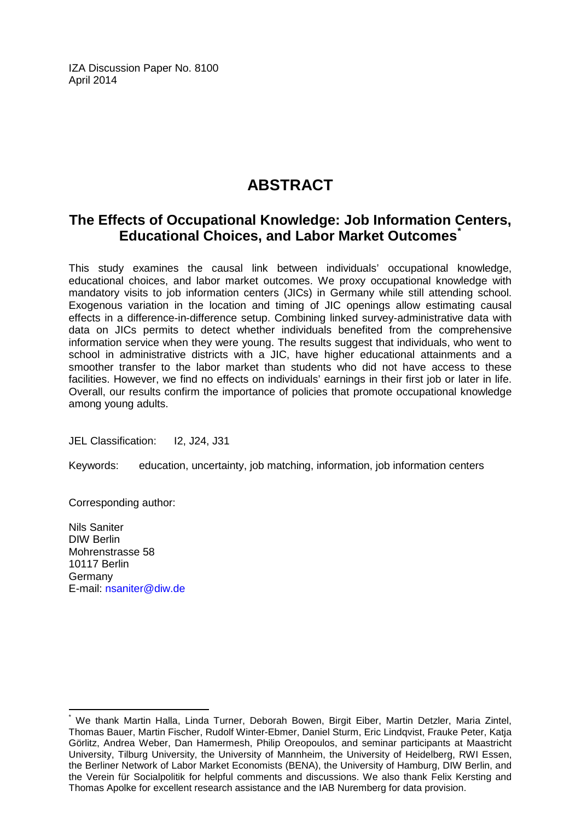IZA Discussion Paper No. 8100 April 2014

# **ABSTRACT**

# **The Effects of Occupational Knowledge: Job Information Centers, Educational Choices, and Labor Market Outcomes[\\*](#page-1-0)**

This study examines the causal link between individuals' occupational knowledge, educational choices, and labor market outcomes. We proxy occupational knowledge with mandatory visits to job information centers (JICs) in Germany while still attending school. Exogenous variation in the location and timing of JIC openings allow estimating causal effects in a difference-in-difference setup. Combining linked survey-administrative data with data on JICs permits to detect whether individuals benefited from the comprehensive information service when they were young. The results suggest that individuals, who went to school in administrative districts with a JIC, have higher educational attainments and a smoother transfer to the labor market than students who did not have access to these facilities. However, we find no effects on individuals' earnings in their first job or later in life. Overall, our results confirm the importance of policies that promote occupational knowledge among young adults.

JEL Classification: I2, J24, J31

Keywords: education, uncertainty, job matching, information, job information centers

Corresponding author:

Nils Saniter DIW Berlin Mohrenstrasse 58 10117 Berlin Germany E-mail: [nsaniter@diw.de](mailto:nsaniter@diw.de)

We thank Martin Halla, Linda Turner, Deborah Bowen, Birgit Eiber, Martin Detzler, Maria Zintel, Thomas Bauer, Martin Fischer, Rudolf Winter-Ebmer, Daniel Sturm, Eric Lindqvist, Frauke Peter, Katja Görlitz, Andrea Weber, Dan Hamermesh, Philip Oreopoulos, and seminar participants at Maastricht University, Tilburg University, the University of Mannheim, the University of Heidelberg, RWI Essen, the Berliner Network of Labor Market Economists (BENA), the University of Hamburg, DIW Berlin, and the Verein für Socialpolitik for helpful comments and discussions. We also thank Felix Kersting and Thomas Apolke for excellent research assistance and the IAB Nuremberg for data provision.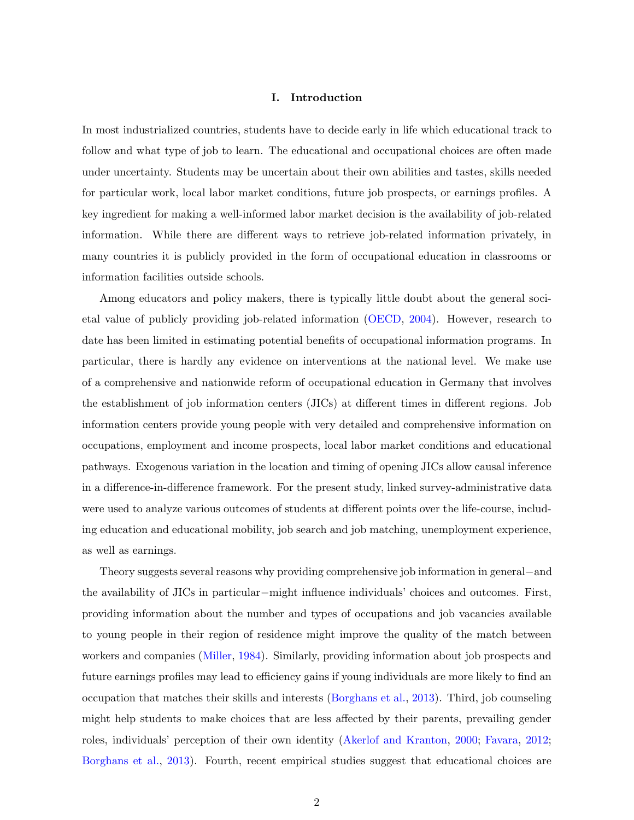### I. Introduction

In most industrialized countries, students have to decide early in life which educational track to follow and what type of job to learn. The educational and occupational choices are often made under uncertainty. Students may be uncertain about their own abilities and tastes, skills needed for particular work, local labor market conditions, future job prospects, or earnings profiles. A key ingredient for making a well-informed labor market decision is the availability of job-related information. While there are different ways to retrieve job-related information privately, in many countries it is publicly provided in the form of occupational education in classrooms or information facilities outside schools.

Among educators and policy makers, there is typically little doubt about the general societal value of publicly providing job-related information [\(OECD,](#page-45-0) [2004\)](#page-45-0). However, research to date has been limited in estimating potential benefits of occupational information programs. In particular, there is hardly any evidence on interventions at the national level. We make use of a comprehensive and nationwide reform of occupational education in Germany that involves the establishment of job information centers (JICs) at different times in different regions. Job information centers provide young people with very detailed and comprehensive information on occupations, employment and income prospects, local labor market conditions and educational pathways. Exogenous variation in the location and timing of opening JICs allow causal inference in a difference-in-difference framework. For the present study, linked survey-administrative data were used to analyze various outcomes of students at different points over the life-course, including education and educational mobility, job search and job matching, unemployment experience, as well as earnings.

Theory suggests several reasons why providing comprehensive job information in general−and the availability of JICs in particular−might influence individuals' choices and outcomes. First, providing information about the number and types of occupations and job vacancies available to young people in their region of residence might improve the quality of the match between workers and companies [\(Miller,](#page-45-1) [1984\)](#page-45-1). Similarly, providing information about job prospects and future earnings profiles may lead to efficiency gains if young individuals are more likely to find an occupation that matches their skills and interests [\(Borghans et al.,](#page-43-0) [2013\)](#page-43-0). Third, job counseling might help students to make choices that are less affected by their parents, prevailing gender roles, individuals' perception of their own identity [\(Akerlof and Kranton,](#page-43-1) [2000;](#page-43-1) [Favara,](#page-43-2) [2012;](#page-43-2) [Borghans et al.,](#page-43-0) [2013\)](#page-43-0). Fourth, recent empirical studies suggest that educational choices are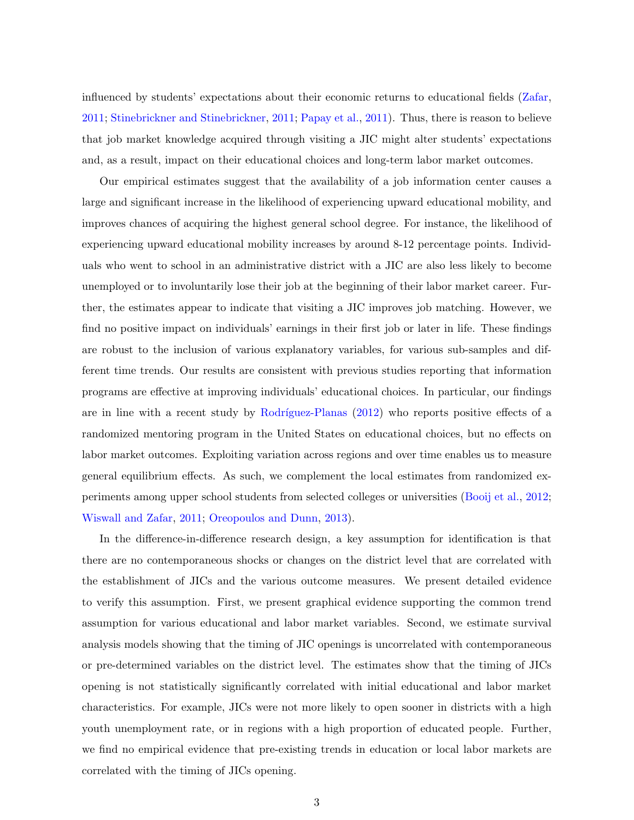influenced by students' expectations about their economic returns to educational fields [\(Zafar,](#page-46-0) [2011;](#page-46-0) [Stinebrickner and Stinebrickner,](#page-46-1) [2011;](#page-46-1) [Papay et al.,](#page-45-2) [2011\)](#page-45-2). Thus, there is reason to believe that job market knowledge acquired through visiting a JIC might alter students' expectations and, as a result, impact on their educational choices and long-term labor market outcomes.

Our empirical estimates suggest that the availability of a job information center causes a large and significant increase in the likelihood of experiencing upward educational mobility, and improves chances of acquiring the highest general school degree. For instance, the likelihood of experiencing upward educational mobility increases by around 8-12 percentage points. Individuals who went to school in an administrative district with a JIC are also less likely to become unemployed or to involuntarily lose their job at the beginning of their labor market career. Further, the estimates appear to indicate that visiting a JIC improves job matching. However, we find no positive impact on individuals' earnings in their first job or later in life. These findings are robust to the inclusion of various explanatory variables, for various sub-samples and different time trends. Our results are consistent with previous studies reporting that information programs are effective at improving individuals' educational choices. In particular, our findings are in line with a recent study by Rodríguez-Planas  $(2012)$  who reports positive effects of a randomized mentoring program in the United States on educational choices, but no effects on labor market outcomes. Exploiting variation across regions and over time enables us to measure general equilibrium effects. As such, we complement the local estimates from randomized experiments among upper school students from selected colleges or universities [\(Booij et al.,](#page-43-3) [2012;](#page-43-3) [Wiswall and Zafar,](#page-46-2) [2011;](#page-46-2) [Oreopoulos and Dunn,](#page-45-4) [2013\)](#page-45-4).

In the difference-in-difference research design, a key assumption for identification is that there are no contemporaneous shocks or changes on the district level that are correlated with the establishment of JICs and the various outcome measures. We present detailed evidence to verify this assumption. First, we present graphical evidence supporting the common trend assumption for various educational and labor market variables. Second, we estimate survival analysis models showing that the timing of JIC openings is uncorrelated with contemporaneous or pre-determined variables on the district level. The estimates show that the timing of JICs opening is not statistically significantly correlated with initial educational and labor market characteristics. For example, JICs were not more likely to open sooner in districts with a high youth unemployment rate, or in regions with a high proportion of educated people. Further, we find no empirical evidence that pre-existing trends in education or local labor markets are correlated with the timing of JICs opening.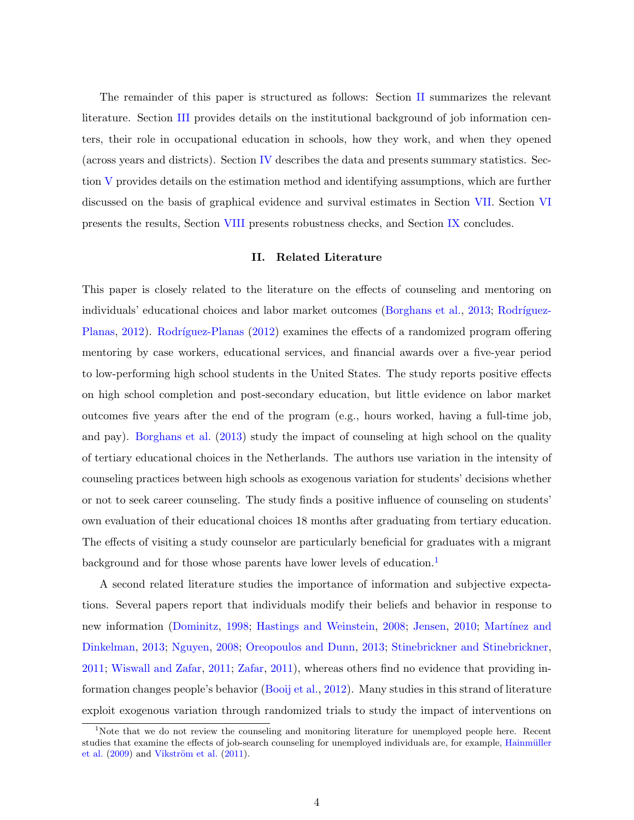The remainder of this paper is structured as follows: Section [II](#page-5-0) summarizes the relevant literature. Section [III](#page-7-0) provides details on the institutional background of job information centers, their role in occupational education in schools, how they work, and when they opened (across years and districts). Section [IV](#page-13-0) describes the data and presents summary statistics. Section [V](#page-19-0) provides details on the estimation method and identifying assumptions, which are further discussed on the basis of graphical evidence and survival estimates in Section [VII.](#page-23-0) Section [VI](#page-20-0) presents the results, Section [VIII](#page-25-0) presents robustness checks, and Section [IX](#page-27-0) concludes.

### II. Related Literature

<span id="page-5-0"></span>This paper is closely related to the literature on the effects of counseling and mentoring on individuals' educational choices and labor market outcomes [\(Borghans et al.,](#page-43-0) [2013;](#page-43-0) Rodríguez-[Planas,](#page-45-3) [2012\)](#page-45-3). Rodríguez-Planas [\(2012\)](#page-45-3) examines the effects of a randomized program offering mentoring by case workers, educational services, and financial awards over a five-year period to low-performing high school students in the United States. The study reports positive effects on high school completion and post-secondary education, but little evidence on labor market outcomes five years after the end of the program (e.g., hours worked, having a full-time job, and pay). [Borghans et al.](#page-43-0) [\(2013\)](#page-43-0) study the impact of counseling at high school on the quality of tertiary educational choices in the Netherlands. The authors use variation in the intensity of counseling practices between high schools as exogenous variation for students' decisions whether or not to seek career counseling. The study finds a positive influence of counseling on students' own evaluation of their educational choices 18 months after graduating from tertiary education. The effects of visiting a study counselor are particularly beneficial for graduates with a migrant background and for those whose parents have lower levels of education.<sup>[1](#page-5-1)</sup>

A second related literature studies the importance of information and subjective expectations. Several papers report that individuals modify their beliefs and behavior in response to new information [\(Dominitz,](#page-43-4) [1998;](#page-43-4) [Hastings and Weinstein,](#page-44-0) [2008;](#page-44-0) [Jensen,](#page-44-1) [2010;](#page-44-1) Martínez and [Dinkelman,](#page-45-5) [2013;](#page-45-5) [Nguyen,](#page-45-6) [2008;](#page-45-6) [Oreopoulos and Dunn,](#page-45-4) [2013;](#page-45-4) [Stinebrickner and Stinebrickner,](#page-46-1) [2011;](#page-46-1) [Wiswall and Zafar,](#page-46-2) [2011;](#page-46-2) [Zafar,](#page-46-0) [2011\)](#page-46-0), whereas others find no evidence that providing information changes people's behavior [\(Booij et al.,](#page-43-3) [2012\)](#page-43-3). Many studies in this strand of literature exploit exogenous variation through randomized trials to study the impact of interventions on

<span id="page-5-1"></span><sup>&</sup>lt;sup>1</sup>Note that we do not review the counseling and monitoring literature for unemployed people here. Recent studies that examine the effects of job-search counseling for unemployed individuals are, for example, Hainmüller [et al.](#page-44-2)  $(2009)$  and Vikström et al.  $(2011)$ .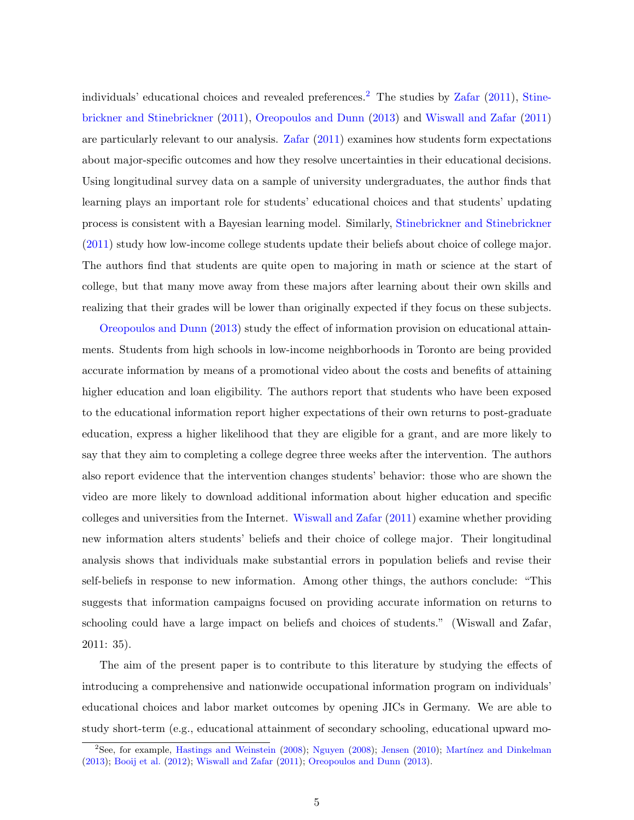individuals' educational choices and revealed preferences.<sup>[2](#page-6-0)</sup> The studies by  $\text{Zafar}$  $\text{Zafar}$  $\text{Zafar}$  [\(2011\)](#page-46-0), [Stine](#page-46-1)[brickner and Stinebrickner](#page-46-1) [\(2011\)](#page-46-1), [Oreopoulos and Dunn](#page-45-4) [\(2013\)](#page-45-4) and [Wiswall and Zafar](#page-46-2) [\(2011\)](#page-46-2) are particularly relevant to our analysis. [Zafar](#page-46-0) [\(2011\)](#page-46-0) examines how students form expectations about major-specific outcomes and how they resolve uncertainties in their educational decisions. Using longitudinal survey data on a sample of university undergraduates, the author finds that learning plays an important role for students' educational choices and that students' updating process is consistent with a Bayesian learning model. Similarly, [Stinebrickner and Stinebrickner](#page-46-1) [\(2011\)](#page-46-1) study how low-income college students update their beliefs about choice of college major. The authors find that students are quite open to majoring in math or science at the start of college, but that many move away from these majors after learning about their own skills and realizing that their grades will be lower than originally expected if they focus on these subjects.

[Oreopoulos and Dunn](#page-45-4) [\(2013\)](#page-45-4) study the effect of information provision on educational attainments. Students from high schools in low-income neighborhoods in Toronto are being provided accurate information by means of a promotional video about the costs and benefits of attaining higher education and loan eligibility. The authors report that students who have been exposed to the educational information report higher expectations of their own returns to post-graduate education, express a higher likelihood that they are eligible for a grant, and are more likely to say that they aim to completing a college degree three weeks after the intervention. The authors also report evidence that the intervention changes students' behavior: those who are shown the video are more likely to download additional information about higher education and specific colleges and universities from the Internet. [Wiswall and Zafar](#page-46-2) [\(2011\)](#page-46-2) examine whether providing new information alters students' beliefs and their choice of college major. Their longitudinal analysis shows that individuals make substantial errors in population beliefs and revise their self-beliefs in response to new information. Among other things, the authors conclude: "This suggests that information campaigns focused on providing accurate information on returns to schooling could have a large impact on beliefs and choices of students." (Wiswall and Zafar, 2011: 35).

The aim of the present paper is to contribute to this literature by studying the effects of introducing a comprehensive and nationwide occupational information program on individuals' educational choices and labor market outcomes by opening JICs in Germany. We are able to study short-term (e.g., educational attainment of secondary schooling, educational upward mo-

<span id="page-6-0"></span> $2$ See, for example, [Hastings and Weinstein](#page-44-0) [\(2008\)](#page-45-6); [Nguyen](#page-45-6) (2008); [Jensen](#page-44-1) [\(2010\)](#page-44-1); Martínez and Dinkelman [\(2013\)](#page-45-5); [Booij et al.](#page-43-3) [\(2012\)](#page-43-3); [Wiswall and Zafar](#page-46-2) [\(2011\)](#page-46-2); [Oreopoulos and Dunn](#page-45-4) [\(2013\)](#page-45-4).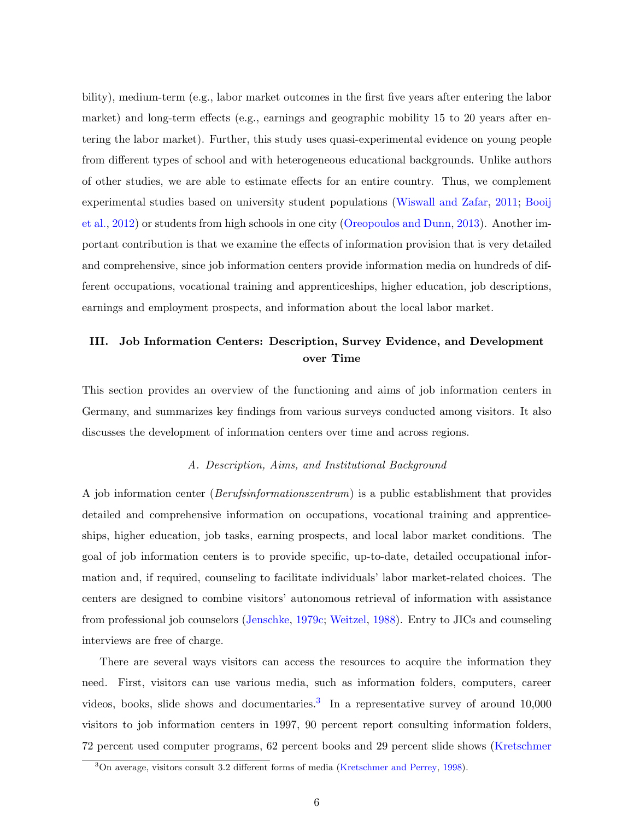bility), medium-term (e.g., labor market outcomes in the first five years after entering the labor market) and long-term effects (e.g., earnings and geographic mobility 15 to 20 years after entering the labor market). Further, this study uses quasi-experimental evidence on young people from different types of school and with heterogeneous educational backgrounds. Unlike authors of other studies, we are able to estimate effects for an entire country. Thus, we complement experimental studies based on university student populations [\(Wiswall and Zafar,](#page-46-2) [2011;](#page-46-2) [Booij](#page-43-3) [et al.,](#page-43-3) [2012\)](#page-43-3) or students from high schools in one city [\(Oreopoulos and Dunn,](#page-45-4) [2013\)](#page-45-4). Another important contribution is that we examine the effects of information provision that is very detailed and comprehensive, since job information centers provide information media on hundreds of different occupations, vocational training and apprenticeships, higher education, job descriptions, earnings and employment prospects, and information about the local labor market.

## <span id="page-7-0"></span>III. Job Information Centers: Description, Survey Evidence, and Development over Time

This section provides an overview of the functioning and aims of job information centers in Germany, and summarizes key findings from various surveys conducted among visitors. It also discusses the development of information centers over time and across regions.

### A. Description, Aims, and Institutional Background

A job information center (Berufsinformationszentrum) is a public establishment that provides detailed and comprehensive information on occupations, vocational training and apprenticeships, higher education, job tasks, earning prospects, and local labor market conditions. The goal of job information centers is to provide specific, up-to-date, detailed occupational information and, if required, counseling to facilitate individuals' labor market-related choices. The centers are designed to combine visitors' autonomous retrieval of information with assistance from professional job counselors [\(Jenschke,](#page-44-3) [1979c;](#page-44-3) [Weitzel,](#page-46-4) [1988\)](#page-46-4). Entry to JICs and counseling interviews are free of charge.

There are several ways visitors can access the resources to acquire the information they need. First, visitors can use various media, such as information folders, computers, career videos, books, slide shows and documentaries.<sup>[3](#page-7-1)</sup> In a representative survey of around  $10,000$ visitors to job information centers in 1997, 90 percent report consulting information folders, 72 percent used computer programs, 62 percent books and 29 percent slide shows [\(Kretschmer](#page-44-4)

<span id="page-7-1"></span><sup>3</sup>[On average, visitors consult 3.2 different forms of media \(Kretschmer and Perrey,](#page-44-4) [1998\)](#page-44-4).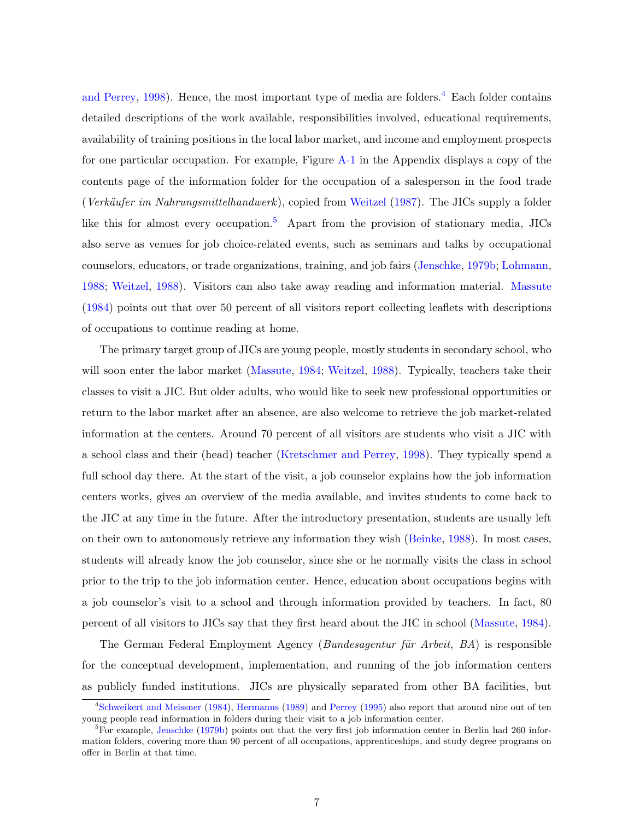[and Perrey,](#page-44-4) [1998\)](#page-44-4). Hence, the most important type of media are folders.<sup>[4](#page-8-0)</sup> Each folder contains detailed descriptions of the work available, responsibilities involved, educational requirements, availability of training positions in the local labor market, and income and employment prospects for one particular occupation. For example, Figure [A-1](#page-47-0) in the Appendix displays a copy of the contents page of the information folder for the occupation of a salesperson in the food trade (Verkäufer im Nahrungsmittelhandwerk), copied from [Weitzel](#page-46-5) [\(1987\)](#page-46-5). The JICs supply a folder like this for almost every occupation.<sup>[5](#page-8-1)</sup> Apart from the provision of stationary media, JICs also serve as venues for job choice-related events, such as seminars and talks by occupational counselors, educators, or trade organizations, training, and job fairs [\(Jenschke,](#page-44-5) [1979b;](#page-44-5) [Lohmann,](#page-44-6) [1988;](#page-44-6) [Weitzel,](#page-46-4) [1988\)](#page-46-4). Visitors can also take away reading and information material. [Massute](#page-45-7) [\(1984\)](#page-45-7) points out that over 50 percent of all visitors report collecting leaflets with descriptions of occupations to continue reading at home.

The primary target group of JICs are young people, mostly students in secondary school, who will soon enter the labor market [\(Massute,](#page-45-7) [1984;](#page-45-7) [Weitzel,](#page-46-4) [1988\)](#page-46-4). Typically, teachers take their classes to visit a JIC. But older adults, who would like to seek new professional opportunities or return to the labor market after an absence, are also welcome to retrieve the job market-related information at the centers. Around 70 percent of all visitors are students who visit a JIC with a school class and their (head) teacher [\(Kretschmer and Perrey,](#page-44-4) [1998\)](#page-44-4). They typically spend a full school day there. At the start of the visit, a job counselor explains how the job information centers works, gives an overview of the media available, and invites students to come back to the JIC at any time in the future. After the introductory presentation, students are usually left on their own to autonomously retrieve any information they wish [\(Beinke,](#page-43-5) [1988\)](#page-43-5). In most cases, students will already know the job counselor, since she or he normally visits the class in school prior to the trip to the job information center. Hence, education about occupations begins with a job counselor's visit to a school and through information provided by teachers. In fact, 80 percent of all visitors to JICs say that they first heard about the JIC in school [\(Massute,](#page-45-7) [1984\)](#page-45-7).

The German Federal Employment Agency (*Bundesagentur für Arbeit*,  $BA$ ) is responsible for the conceptual development, implementation, and running of the job information centers as publicly funded institutions. JICs are physically separated from other BA facilities, but

<span id="page-8-0"></span><sup>&</sup>lt;sup>4</sup>[Schweikert and Meissner](#page-45-8) [\(1984\)](#page-45-8), [Hermanns](#page-44-7) [\(1989\)](#page-44-7) and [Perrey](#page-45-9) [\(1995\)](#page-45-9) also report that around nine out of ten young people read information in folders during their visit to a job information center.

<span id="page-8-1"></span> ${}^{5}$ For example, [Jenschke](#page-44-5) [\(1979b\)](#page-44-5) points out that the very first job information center in Berlin had 260 information folders, covering more than 90 percent of all occupations, apprenticeships, and study degree programs on offer in Berlin at that time.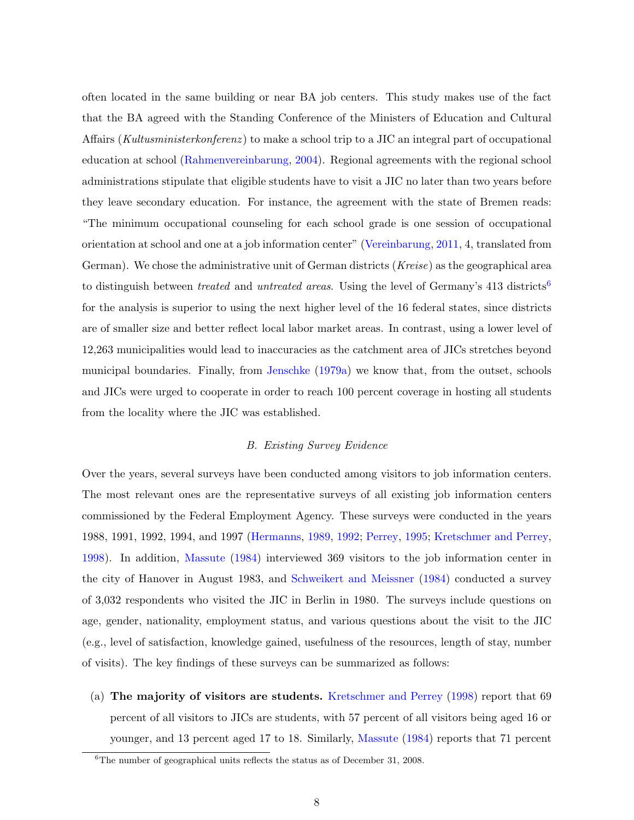often located in the same building or near BA job centers. This study makes use of the fact that the BA agreed with the Standing Conference of the Ministers of Education and Cultural Affairs (Kultusministerkonferenz) to make a school trip to a JIC an integral part of occupational education at school [\(Rahmenvereinbarung,](#page-45-10) [2004\)](#page-45-10). Regional agreements with the regional school administrations stipulate that eligible students have to visit a JIC no later than two years before they leave secondary education. For instance, the agreement with the state of Bremen reads: "The minimum occupational counseling for each school grade is one session of occupational orientation at school and one at a job information center" [\(Vereinbarung,](#page-46-6) [2011,](#page-46-6) 4, translated from German). We chose the administrative unit of German districts (Kreise) as the geographical area to distinguish between *treated* and *untreated areas*. Using the level of Germany's  $413$  districts<sup>[6](#page-9-0)</sup> for the analysis is superior to using the next higher level of the 16 federal states, since districts are of smaller size and better reflect local labor market areas. In contrast, using a lower level of 12,263 municipalities would lead to inaccuracies as the catchment area of JICs stretches beyond municipal boundaries. Finally, from [Jenschke](#page-44-8) [\(1979a\)](#page-44-8) we know that, from the outset, schools and JICs were urged to cooperate in order to reach 100 percent coverage in hosting all students from the locality where the JIC was established.

### B. Existing Survey Evidence

Over the years, several surveys have been conducted among visitors to job information centers. The most relevant ones are the representative surveys of all existing job information centers commissioned by the Federal Employment Agency. These surveys were conducted in the years 1988, 1991, 1992, 1994, and 1997 [\(Hermanns,](#page-44-7) [1989,](#page-44-7) [1992;](#page-44-9) [Perrey,](#page-45-9) [1995;](#page-45-9) [Kretschmer and Perrey,](#page-44-4) [1998\)](#page-44-4). In addition, [Massute](#page-45-7) [\(1984\)](#page-45-7) interviewed 369 visitors to the job information center in the city of Hanover in August 1983, and [Schweikert and Meissner](#page-45-8) [\(1984\)](#page-45-8) conducted a survey of 3,032 respondents who visited the JIC in Berlin in 1980. The surveys include questions on age, gender, nationality, employment status, and various questions about the visit to the JIC (e.g., level of satisfaction, knowledge gained, usefulness of the resources, length of stay, number of visits). The key findings of these surveys can be summarized as follows:

(a) The majority of visitors are students. [Kretschmer and Perrey](#page-44-4) [\(1998\)](#page-44-4) report that 69 percent of all visitors to JICs are students, with 57 percent of all visitors being aged 16 or younger, and 13 percent aged 17 to 18. Similarly, [Massute](#page-45-7) [\(1984\)](#page-45-7) reports that 71 percent

<span id="page-9-0"></span> $6$ The number of geographical units reflects the status as of December 31, 2008.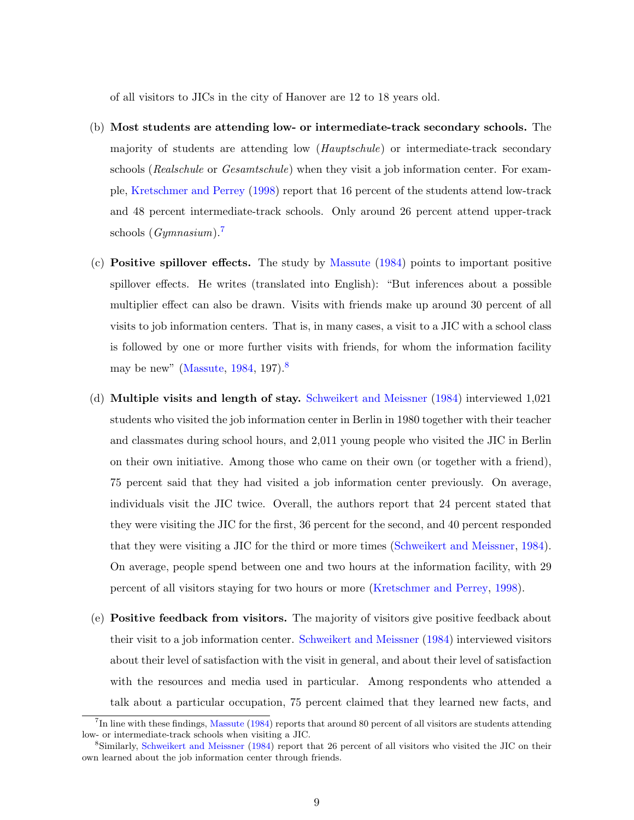of all visitors to JICs in the city of Hanover are 12 to 18 years old.

- (b) Most students are attending low- or intermediate-track secondary schools. The majority of students are attending low (Hauptschule) or intermediate-track secondary schools (Realschule or Gesamtschule) when they visit a job information center. For example, [Kretschmer and Perrey](#page-44-4) [\(1998\)](#page-44-4) report that 16 percent of the students attend low-track and 48 percent intermediate-track schools. Only around 26 percent attend upper-track schools  $(Gymnasium)$ .
- (c) **Positive spillover effects.** The study by [Massute](#page-45-7)  $(1984)$  points to important positive spillover effects. He writes (translated into English): "But inferences about a possible multiplier effect can also be drawn. Visits with friends make up around 30 percent of all visits to job information centers. That is, in many cases, a visit to a JIC with a school class is followed by one or more further visits with friends, for whom the information facility may be new" [\(Massute,](#page-45-7)  $1984, 197$  $1984, 197$ ).
- (d) Multiple visits and length of stay. [Schweikert and Meissner](#page-45-8) [\(1984\)](#page-45-8) interviewed 1,021 students who visited the job information center in Berlin in 1980 together with their teacher and classmates during school hours, and 2,011 young people who visited the JIC in Berlin on their own initiative. Among those who came on their own (or together with a friend), 75 percent said that they had visited a job information center previously. On average, individuals visit the JIC twice. Overall, the authors report that 24 percent stated that they were visiting the JIC for the first, 36 percent for the second, and 40 percent responded that they were visiting a JIC for the third or more times [\(Schweikert and Meissner,](#page-45-8) [1984\)](#page-45-8). On average, people spend between one and two hours at the information facility, with 29 percent of all visitors staying for two hours or more [\(Kretschmer and Perrey,](#page-44-4) [1998\)](#page-44-4).
- (e) Positive feedback from visitors. The majority of visitors give positive feedback about their visit to a job information center. [Schweikert and Meissner](#page-45-8) [\(1984\)](#page-45-8) interviewed visitors about their level of satisfaction with the visit in general, and about their level of satisfaction with the resources and media used in particular. Among respondents who attended a talk about a particular occupation, 75 percent claimed that they learned new facts, and

<span id="page-10-0"></span><sup>&</sup>lt;sup>7</sup>In line with these findings, [Massute](#page-45-7) [\(1984\)](#page-45-7) reports that around 80 percent of all visitors are students attending low- or intermediate-track schools when visiting a JIC.

<span id="page-10-1"></span><sup>8</sup>Similarly, [Schweikert and Meissner](#page-45-8) [\(1984\)](#page-45-8) report that 26 percent of all visitors who visited the JIC on their own learned about the job information center through friends.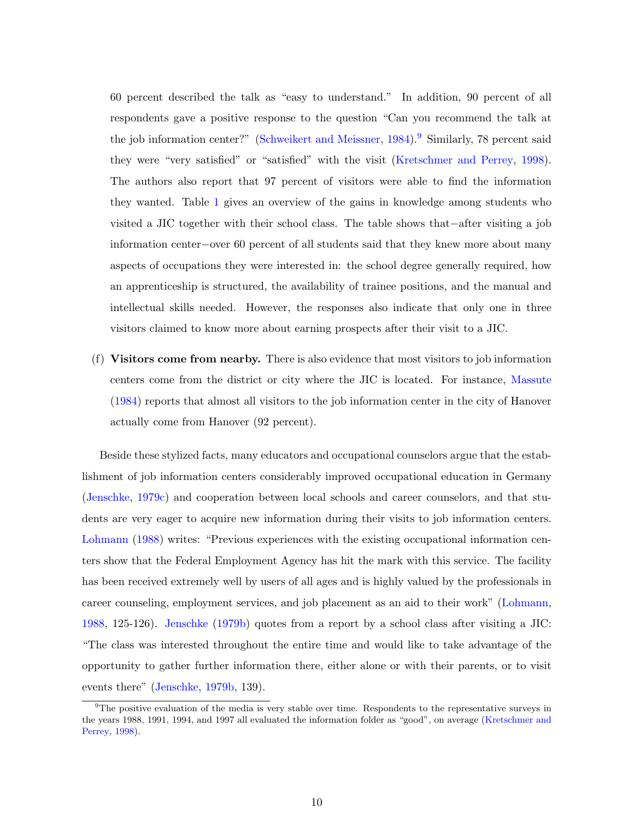60 percent described the talk as "easy to understand." In addition, 90 percent of all respondents gave a positive response to the question "Can you recommend the talk at the job information center?" [\(Schweikert and Meissner,](#page-45-8) [1984\)](#page-45-8).<sup>[9](#page-11-0)</sup> Similarly, 78 percent said they were "very satisfied" or "satisfied" with the visit [\(Kretschmer and Perrey,](#page-44-4) [1998\)](#page-44-4). The authors also report that 97 percent of visitors were able to find the information they wanted. Table [1](#page-35-0) gives an overview of the gains in knowledge among students who visited a JIC together with their school class. The table shows that−after visiting a job information center−over 60 percent of all students said that they knew more about many aspects of occupations they were interested in: the school degree generally required, how an apprenticeship is structured, the availability of trainee positions, and the manual and intellectual skills needed. However, the responses also indicate that only one in three visitors claimed to know more about earning prospects after their visit to a JIC.

(f) Visitors come from nearby. There is also evidence that most visitors to job information centers come from the district or city where the JIC is located. For instance, [Massute](#page-45-7) [\(1984\)](#page-45-7) reports that almost all visitors to the job information center in the city of Hanover actually come from Hanover (92 percent).

Beside these stylized facts, many educators and occupational counselors argue that the establishment of job information centers considerably improved occupational education in Germany [\(Jenschke,](#page-44-3) [1979c\)](#page-44-3) and cooperation between local schools and career counselors, and that students are very eager to acquire new information during their visits to job information centers. [Lohmann](#page-44-6) [\(1988\)](#page-44-6) writes: "Previous experiences with the existing occupational information centers show that the Federal Employment Agency has hit the mark with this service. The facility has been received extremely well by users of all ages and is highly valued by the professionals in career counseling, employment services, and job placement as an aid to their work" [\(Lohmann,](#page-44-6) [1988,](#page-44-6) 125-126). [Jenschke](#page-44-5) [\(1979b\)](#page-44-5) quotes from a report by a school class after visiting a JIC: "The class was interested throughout the entire time and would like to take advantage of the opportunity to gather further information there, either alone or with their parents, or to visit events there" [\(Jenschke,](#page-44-5) [1979b,](#page-44-5) 139).

<span id="page-11-0"></span><sup>&</sup>lt;sup>9</sup>The positive evaluation of the media is very stable over time. Respondents to the representative surveys in the years 1988, 1991, 1994, and 1997 all evaluated the information folder as "good", on average [\(Kretschmer and](#page-44-4) [Perrey,](#page-44-4) [1998\)](#page-44-4).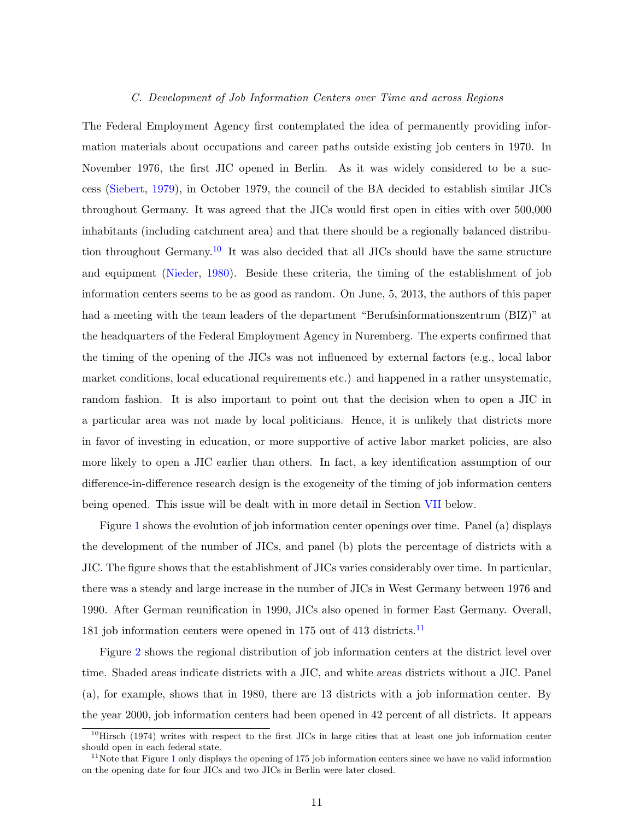### C. Development of Job Information Centers over Time and across Regions

The Federal Employment Agency first contemplated the idea of permanently providing information materials about occupations and career paths outside existing job centers in 1970. In November 1976, the first JIC opened in Berlin. As it was widely considered to be a success [\(Siebert,](#page-46-7) [1979\)](#page-46-7), in October 1979, the council of the BA decided to establish similar JICs throughout Germany. It was agreed that the JICs would first open in cities with over 500,000 inhabitants (including catchment area) and that there should be a regionally balanced distribu-tion throughout Germany.<sup>[10](#page-12-0)</sup> It was also decided that all JICs should have the same structure and equipment [\(Nieder,](#page-45-11) [1980\)](#page-45-11). Beside these criteria, the timing of the establishment of job information centers seems to be as good as random. On June, 5, 2013, the authors of this paper had a meeting with the team leaders of the department "Berufsinformationszentrum (BIZ)" at the headquarters of the Federal Employment Agency in Nuremberg. The experts confirmed that the timing of the opening of the JICs was not influenced by external factors (e.g., local labor market conditions, local educational requirements etc.) and happened in a rather unsystematic, random fashion. It is also important to point out that the decision when to open a JIC in a particular area was not made by local politicians. Hence, it is unlikely that districts more in favor of investing in education, or more supportive of active labor market policies, are also more likely to open a JIC earlier than others. In fact, a key identification assumption of our difference-in-difference research design is the exogeneity of the timing of job information centers being opened. This issue will be dealt with in more detail in Section [VII](#page-23-0) below.

Figure [1](#page-29-0) shows the evolution of job information center openings over time. Panel (a) displays the development of the number of JICs, and panel (b) plots the percentage of districts with a JIC. The figure shows that the establishment of JICs varies considerably over time. In particular, there was a steady and large increase in the number of JICs in West Germany between 1976 and 1990. After German reunification in 1990, JICs also opened in former East Germany. Overall, 181 job information centers were opened in 175 out of 413 districts.<sup>[11](#page-12-1)</sup>

Figure [2](#page-30-0) shows the regional distribution of job information centers at the district level over time. Shaded areas indicate districts with a JIC, and white areas districts without a JIC. Panel (a), for example, shows that in 1980, there are 13 districts with a job information center. By the year 2000, job information centers had been opened in 42 percent of all districts. It appears

<span id="page-12-0"></span> $10$ Hirsch (1974) writes with respect to the first JICs in large cities that at least one job information center should open in each federal state.

<span id="page-12-1"></span> $11$  $11$ Note that Figure 1 only displays the opening of 175 job information centers since we have no valid information on the opening date for four JICs and two JICs in Berlin were later closed.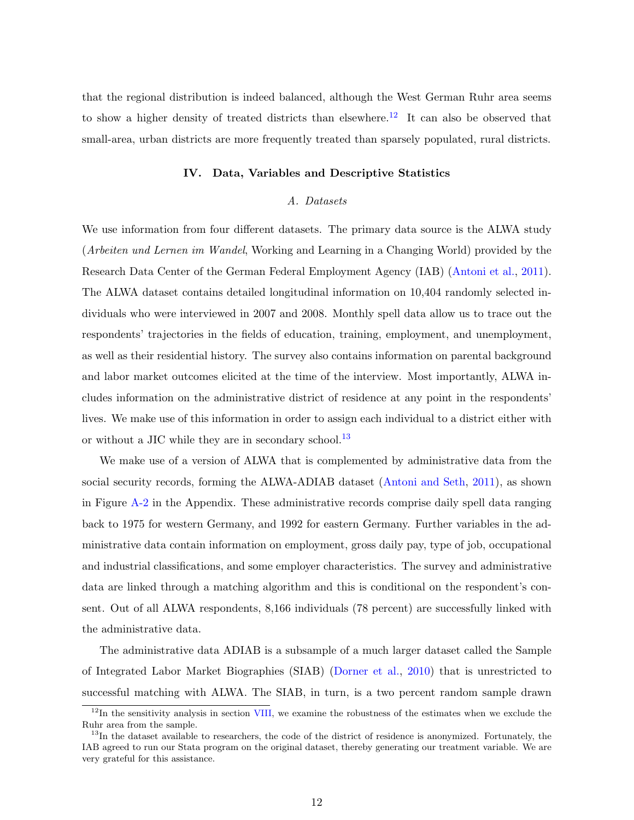that the regional distribution is indeed balanced, although the West German Ruhr area seems to show a higher density of treated districts than elsewhere.<sup>[12](#page-13-1)</sup> It can also be observed that small-area, urban districts are more frequently treated than sparsely populated, rural districts.

### IV. Data, Variables and Descriptive Statistics

### A. Datasets

<span id="page-13-0"></span>We use information from four different datasets. The primary data source is the ALWA study (Arbeiten und Lernen im Wandel, Working and Learning in a Changing World) provided by the Research Data Center of the German Federal Employment Agency (IAB) [\(Antoni et al.,](#page-43-6) [2011\)](#page-43-6). The ALWA dataset contains detailed longitudinal information on 10,404 randomly selected individuals who were interviewed in 2007 and 2008. Monthly spell data allow us to trace out the respondents' trajectories in the fields of education, training, employment, and unemployment, as well as their residential history. The survey also contains information on parental background and labor market outcomes elicited at the time of the interview. Most importantly, ALWA includes information on the administrative district of residence at any point in the respondents' lives. We make use of this information in order to assign each individual to a district either with or without a JIC while they are in secondary school.<sup>[13](#page-13-2)</sup>

We make use of a version of ALWA that is complemented by administrative data from the social security records, forming the ALWA-ADIAB dataset [\(Antoni and Seth,](#page-43-7) [2011\)](#page-43-7), as shown in Figure [A-2](#page-48-0) in the Appendix. These administrative records comprise daily spell data ranging back to 1975 for western Germany, and 1992 for eastern Germany. Further variables in the administrative data contain information on employment, gross daily pay, type of job, occupational and industrial classifications, and some employer characteristics. The survey and administrative data are linked through a matching algorithm and this is conditional on the respondent's consent. Out of all ALWA respondents, 8,166 individuals (78 percent) are successfully linked with the administrative data.

The administrative data ADIAB is a subsample of a much larger dataset called the Sample of Integrated Labor Market Biographies (SIAB) [\(Dorner et al.,](#page-43-8) [2010\)](#page-43-8) that is unrestricted to successful matching with ALWA. The SIAB, in turn, is a two percent random sample drawn

<span id="page-13-1"></span> $12$ In the sensitivity analysis in section [VIII,](#page-25-0) we examine the robustness of the estimates when we exclude the Ruhr area from the sample.

<span id="page-13-2"></span> $13$ In the dataset available to researchers, the code of the district of residence is anonymized. Fortunately, the IAB agreed to run our Stata program on the original dataset, thereby generating our treatment variable. We are very grateful for this assistance.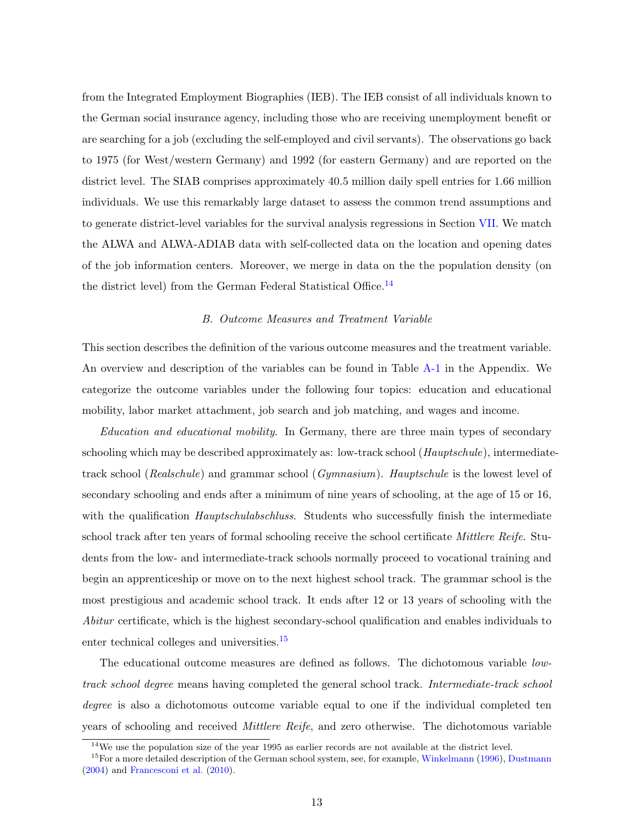from the Integrated Employment Biographies (IEB). The IEB consist of all individuals known to the German social insurance agency, including those who are receiving unemployment benefit or are searching for a job (excluding the self-employed and civil servants). The observations go back to 1975 (for West/western Germany) and 1992 (for eastern Germany) and are reported on the district level. The SIAB comprises approximately 40.5 million daily spell entries for 1.66 million individuals. We use this remarkably large dataset to assess the common trend assumptions and to generate district-level variables for the survival analysis regressions in Section [VII.](#page-23-0) We match the ALWA and ALWA-ADIAB data with self-collected data on the location and opening dates of the job information centers. Moreover, we merge in data on the the population density (on the district level) from the German Federal Statistical Office.[14](#page-14-0)

### B. Outcome Measures and Treatment Variable

This section describes the definition of the various outcome measures and the treatment variable. An overview and description of the variables can be found in Table [A-1](#page-49-0) in the Appendix. We categorize the outcome variables under the following four topics: education and educational mobility, labor market attachment, job search and job matching, and wages and income.

Education and educational mobility. In Germany, there are three main types of secondary schooling which may be described approximately as: low-track school (*Hauptschule*), intermediatetrack school (Realschule) and grammar school (Gymnasium). Hauptschule is the lowest level of secondary schooling and ends after a minimum of nine years of schooling, at the age of 15 or 16, with the qualification *Hauptschulabschluss*. Students who successfully finish the intermediate school track after ten years of formal schooling receive the school certificate *Mittlere Reife*. Students from the low- and intermediate-track schools normally proceed to vocational training and begin an apprenticeship or move on to the next highest school track. The grammar school is the most prestigious and academic school track. It ends after 12 or 13 years of schooling with the Abitur certificate, which is the highest secondary-school qualification and enables individuals to enter technical colleges and universities.[15](#page-14-1)

The educational outcome measures are defined as follows. The dichotomous variable lowtrack school degree means having completed the general school track. Intermediate-track school degree is also a dichotomous outcome variable equal to one if the individual completed ten years of schooling and received Mittlere Reife, and zero otherwise. The dichotomous variable

<span id="page-14-1"></span><span id="page-14-0"></span><sup>&</sup>lt;sup>14</sup>We use the population size of the year 1995 as earlier records are not available at the district level.

<sup>&</sup>lt;sup>15</sup>For a more detailed description of the German school system, see, for example, [Winkelmann](#page-46-8) [\(1996\)](#page-46-8), [Dustmann](#page-43-9) [\(2004\)](#page-43-9) and [Francesconi et al.](#page-43-10) [\(2010\)](#page-43-10).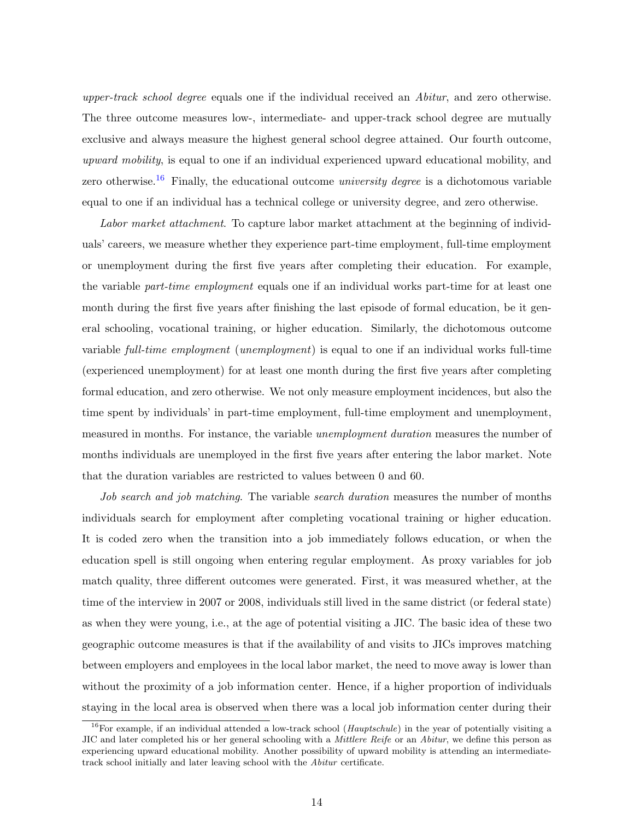upper-track school degree equals one if the individual received an Abitur, and zero otherwise. The three outcome measures low-, intermediate- and upper-track school degree are mutually exclusive and always measure the highest general school degree attained. Our fourth outcome, upward mobility, is equal to one if an individual experienced upward educational mobility, and zero otherwise.<sup>[16](#page-15-0)</sup> Finally, the educational outcome *university degree* is a dichotomous variable equal to one if an individual has a technical college or university degree, and zero otherwise.

Labor market attachment. To capture labor market attachment at the beginning of individuals' careers, we measure whether they experience part-time employment, full-time employment or unemployment during the first five years after completing their education. For example, the variable part-time employment equals one if an individual works part-time for at least one month during the first five years after finishing the last episode of formal education, be it general schooling, vocational training, or higher education. Similarly, the dichotomous outcome variable full-time employment (unemployment) is equal to one if an individual works full-time (experienced unemployment) for at least one month during the first five years after completing formal education, and zero otherwise. We not only measure employment incidences, but also the time spent by individuals' in part-time employment, full-time employment and unemployment, measured in months. For instance, the variable *unemployment duration* measures the number of months individuals are unemployed in the first five years after entering the labor market. Note that the duration variables are restricted to values between 0 and 60.

Job search and job matching. The variable search duration measures the number of months individuals search for employment after completing vocational training or higher education. It is coded zero when the transition into a job immediately follows education, or when the education spell is still ongoing when entering regular employment. As proxy variables for job match quality, three different outcomes were generated. First, it was measured whether, at the time of the interview in 2007 or 2008, individuals still lived in the same district (or federal state) as when they were young, i.e., at the age of potential visiting a JIC. The basic idea of these two geographic outcome measures is that if the availability of and visits to JICs improves matching between employers and employees in the local labor market, the need to move away is lower than without the proximity of a job information center. Hence, if a higher proportion of individuals staying in the local area is observed when there was a local job information center during their

<span id="page-15-0"></span><sup>&</sup>lt;sup>16</sup>For example, if an individual attended a low-track school ( $Hauptschule$ ) in the year of potentially visiting a JIC and later completed his or her general schooling with a Mittlere Reife or an Abitur, we define this person as experiencing upward educational mobility. Another possibility of upward mobility is attending an intermediatetrack school initially and later leaving school with the Abitur certificate.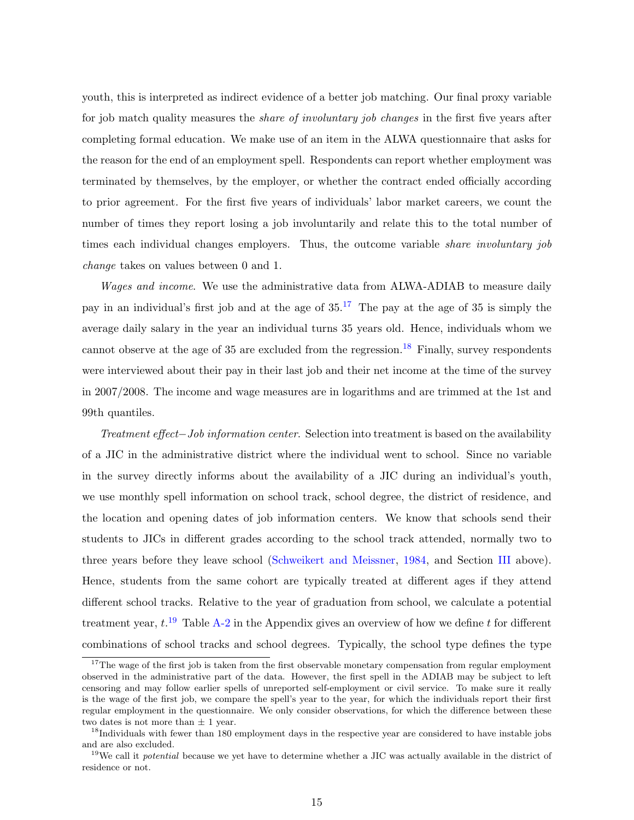youth, this is interpreted as indirect evidence of a better job matching. Our final proxy variable for job match quality measures the *share of involuntary job changes* in the first five years after completing formal education. We make use of an item in the ALWA questionnaire that asks for the reason for the end of an employment spell. Respondents can report whether employment was terminated by themselves, by the employer, or whether the contract ended officially according to prior agreement. For the first five years of individuals' labor market careers, we count the number of times they report losing a job involuntarily and relate this to the total number of times each individual changes employers. Thus, the outcome variable *share involuntary job* change takes on values between 0 and 1.

*Wages and income.* We use the administrative data from ALWA-ADIAB to measure daily pay in an individual's first job and at the age of  $35^{17}$  $35^{17}$  $35^{17}$ . The pay at the age of 35 is simply the average daily salary in the year an individual turns 35 years old. Hence, individuals whom we cannot observe at the age of 35 are excluded from the regression.<sup>[18](#page-16-1)</sup> Finally, survey respondents were interviewed about their pay in their last job and their net income at the time of the survey in 2007/2008. The income and wage measures are in logarithms and are trimmed at the 1st and 99th quantiles.

Treatment effect–Job information center. Selection into treatment is based on the availability of a JIC in the administrative district where the individual went to school. Since no variable in the survey directly informs about the availability of a JIC during an individual's youth, we use monthly spell information on school track, school degree, the district of residence, and the location and opening dates of job information centers. We know that schools send their students to JICs in different grades according to the school track attended, normally two to three years before they leave school [\(Schweikert and Meissner,](#page-45-8) [1984,](#page-45-8) and Section [III](#page-7-0) above). Hence, students from the same cohort are typically treated at different ages if they attend different school tracks. Relative to the year of graduation from school, we calculate a potential treatment year,  $t^{19}$  $t^{19}$  $t^{19}$  Table [A-2](#page-50-0) in the Appendix gives an overview of how we define t for different combinations of school tracks and school degrees. Typically, the school type defines the type

<span id="page-16-0"></span><sup>&</sup>lt;sup>17</sup>The wage of the first job is taken from the first observable monetary compensation from regular employment observed in the administrative part of the data. However, the first spell in the ADIAB may be subject to left censoring and may follow earlier spells of unreported self-employment or civil service. To make sure it really is the wage of the first job, we compare the spell's year to the year, for which the individuals report their first regular employment in the questionnaire. We only consider observations, for which the difference between these two dates is not more than  $\pm$  1 year.

<span id="page-16-1"></span><sup>&</sup>lt;sup>18</sup>Individuals with fewer than 180 employment days in the respective year are considered to have instable jobs and are also excluded.

<span id="page-16-2"></span><sup>&</sup>lt;sup>19</sup>We call it *potential* because we yet have to determine whether a JIC was actually available in the district of residence or not.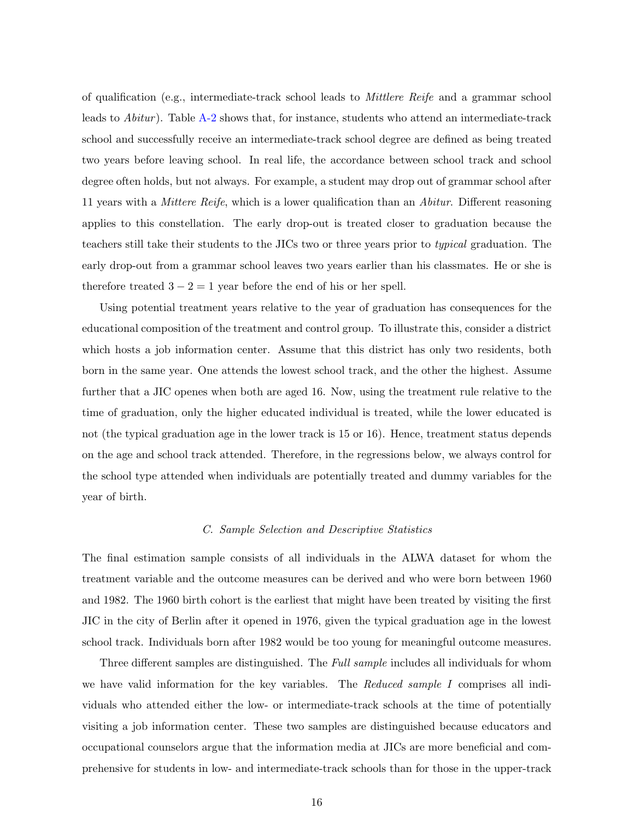of qualification (e.g., intermediate-track school leads to Mittlere Reife and a grammar school leads to  $Abitur$ ). Table  $A-2$  shows that, for instance, students who attend an intermediate-track school and successfully receive an intermediate-track school degree are defined as being treated two years before leaving school. In real life, the accordance between school track and school degree often holds, but not always. For example, a student may drop out of grammar school after 11 years with a *Mittere Reife*, which is a lower qualification than an *Abitur*. Different reasoning applies to this constellation. The early drop-out is treated closer to graduation because the teachers still take their students to the JICs two or three years prior to typical graduation. The early drop-out from a grammar school leaves two years earlier than his classmates. He or she is therefore treated  $3 - 2 = 1$  year before the end of his or her spell.

Using potential treatment years relative to the year of graduation has consequences for the educational composition of the treatment and control group. To illustrate this, consider a district which hosts a job information center. Assume that this district has only two residents, both born in the same year. One attends the lowest school track, and the other the highest. Assume further that a JIC openes when both are aged 16. Now, using the treatment rule relative to the time of graduation, only the higher educated individual is treated, while the lower educated is not (the typical graduation age in the lower track is 15 or 16). Hence, treatment status depends on the age and school track attended. Therefore, in the regressions below, we always control for the school type attended when individuals are potentially treated and dummy variables for the year of birth.

### C. Sample Selection and Descriptive Statistics

The final estimation sample consists of all individuals in the ALWA dataset for whom the treatment variable and the outcome measures can be derived and who were born between 1960 and 1982. The 1960 birth cohort is the earliest that might have been treated by visiting the first JIC in the city of Berlin after it opened in 1976, given the typical graduation age in the lowest school track. Individuals born after 1982 would be too young for meaningful outcome measures.

Three different samples are distinguished. The Full sample includes all individuals for whom we have valid information for the key variables. The Reduced sample I comprises all individuals who attended either the low- or intermediate-track schools at the time of potentially visiting a job information center. These two samples are distinguished because educators and occupational counselors argue that the information media at JICs are more beneficial and comprehensive for students in low- and intermediate-track schools than for those in the upper-track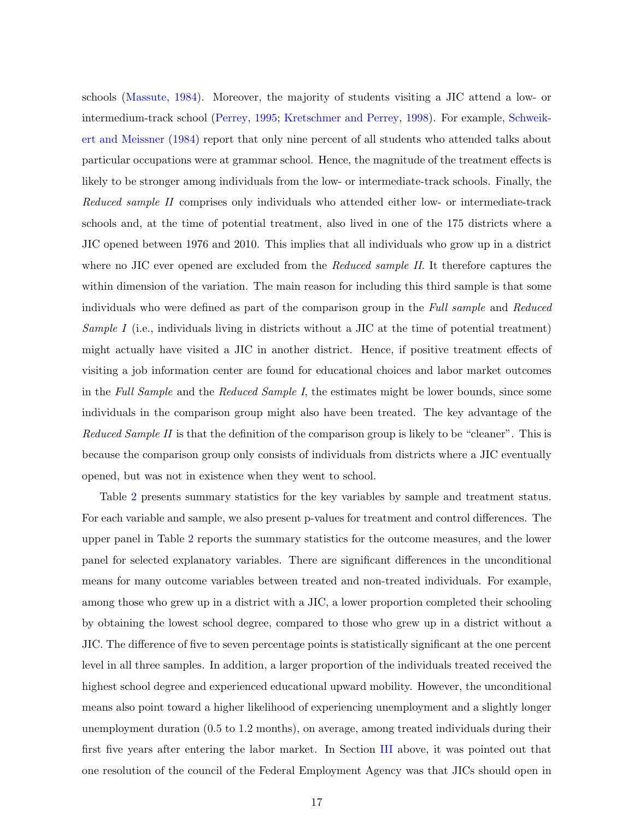schools [\(Massute,](#page-45-7) [1984\)](#page-45-7). Moreover, the majority of students visiting a JIC attend a low- or intermedium-track school [\(Perrey,](#page-45-9) [1995;](#page-45-9) [Kretschmer and Perrey,](#page-44-4) [1998\)](#page-44-4). For example, [Schweik](#page-45-8)[ert and Meissner](#page-45-8) [\(1984\)](#page-45-8) report that only nine percent of all students who attended talks about particular occupations were at grammar school. Hence, the magnitude of the treatment effects is likely to be stronger among individuals from the low- or intermediate-track schools. Finally, the Reduced sample II comprises only individuals who attended either low- or intermediate-track schools and, at the time of potential treatment, also lived in one of the 175 districts where a JIC opened between 1976 and 2010. This implies that all individuals who grow up in a district where no JIC ever opened are excluded from the Reduced sample II. It therefore captures the within dimension of the variation. The main reason for including this third sample is that some individuals who were defined as part of the comparison group in the Full sample and Reduced Sample I (i.e., individuals living in districts without a JIC at the time of potential treatment) might actually have visited a JIC in another district. Hence, if positive treatment effects of visiting a job information center are found for educational choices and labor market outcomes in the Full Sample and the Reduced Sample I, the estimates might be lower bounds, since some individuals in the comparison group might also have been treated. The key advantage of the Reduced Sample II is that the definition of the comparison group is likely to be "cleaner". This is because the comparison group only consists of individuals from districts where a JIC eventually opened, but was not in existence when they went to school.

Table [2](#page-36-0) presents summary statistics for the key variables by sample and treatment status. For each variable and sample, we also present p-values for treatment and control differences. The upper panel in Table [2](#page-36-0) reports the summary statistics for the outcome measures, and the lower panel for selected explanatory variables. There are significant differences in the unconditional means for many outcome variables between treated and non-treated individuals. For example, among those who grew up in a district with a JIC, a lower proportion completed their schooling by obtaining the lowest school degree, compared to those who grew up in a district without a JIC. The difference of five to seven percentage points is statistically significant at the one percent level in all three samples. In addition, a larger proportion of the individuals treated received the highest school degree and experienced educational upward mobility. However, the unconditional means also point toward a higher likelihood of experiencing unemployment and a slightly longer unemployment duration (0.5 to 1.2 months), on average, among treated individuals during their first five years after entering the labor market. In Section [III](#page-7-0) above, it was pointed out that one resolution of the council of the Federal Employment Agency was that JICs should open in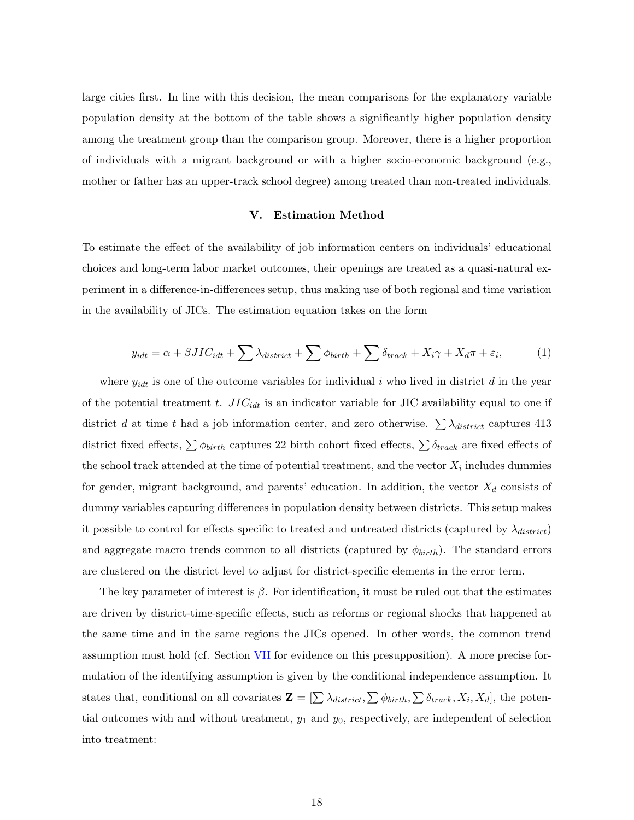large cities first. In line with this decision, the mean comparisons for the explanatory variable population density at the bottom of the table shows a significantly higher population density among the treatment group than the comparison group. Moreover, there is a higher proportion of individuals with a migrant background or with a higher socio-economic background (e.g., mother or father has an upper-track school degree) among treated than non-treated individuals.

### V. Estimation Method

<span id="page-19-0"></span>To estimate the effect of the availability of job information centers on individuals' educational choices and long-term labor market outcomes, their openings are treated as a quasi-natural experiment in a difference-in-differences setup, thus making use of both regional and time variation in the availability of JICs. The estimation equation takes on the form

<span id="page-19-1"></span>
$$
y_{idt} = \alpha + \beta JIC_{idt} + \sum \lambda_{district} + \sum \phi_{birth} + \sum \delta_{track} + X_i \gamma + X_d \pi + \varepsilon_i,
$$
 (1)

where  $y_{idt}$  is one of the outcome variables for individual i who lived in district d in the year of the potential treatment t.  $JIC_{idt}$  is an indicator variable for JIC availability equal to one if district d at time t had a job information center, and zero otherwise.  $\sum \lambda_{distinct}$  captures 413 district fixed effects,  $\sum \phi_{birth}$  captures 22 birth cohort fixed effects,  $\sum \delta_{track}$  are fixed effects of the school track attended at the time of potential treatment, and the vector  $X_i$  includes dummies for gender, migrant background, and parents' education. In addition, the vector  $X_d$  consists of dummy variables capturing differences in population density between districts. This setup makes it possible to control for effects specific to treated and untreated districts (captured by  $\lambda_{distric}$ ) and aggregate macro trends common to all districts (captured by  $\phi_{birth}$ ). The standard errors are clustered on the district level to adjust for district-specific elements in the error term.

The key parameter of interest is  $\beta$ . For identification, it must be ruled out that the estimates are driven by district-time-specific effects, such as reforms or regional shocks that happened at the same time and in the same regions the JICs opened. In other words, the common trend assumption must hold (cf. Section [VII](#page-23-0) for evidence on this presupposition). A more precise formulation of the identifying assumption is given by the conditional independence assumption. It states that, conditional on all covariates  $\mathbf{Z} = [\sum \lambda_{distinct}, \sum \phi_{birth}, \sum \delta_{track}, X_i, X_d]$ , the potential outcomes with and without treatment,  $y_1$  and  $y_0$ , respectively, are independent of selection into treatment: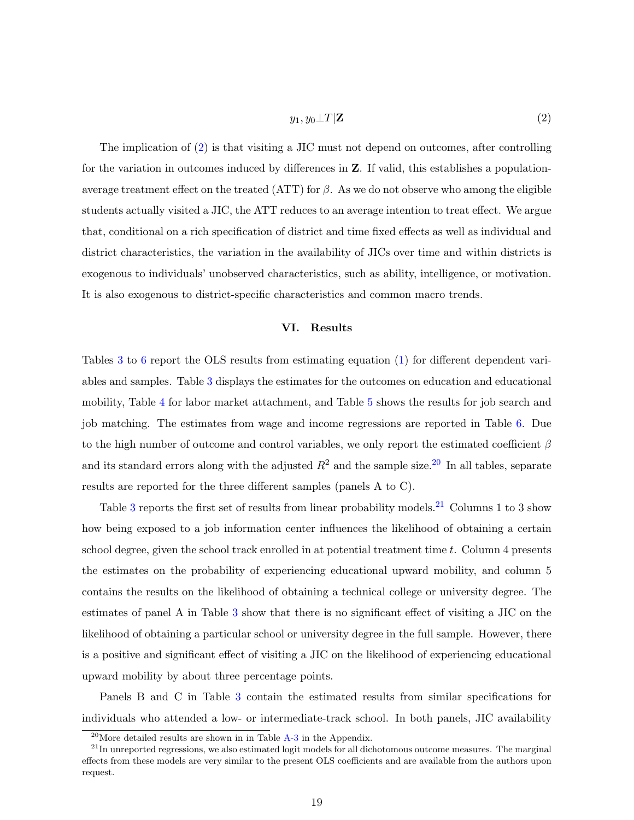### <span id="page-20-1"></span> $y_1, y_0 \perp T|\mathbf{Z}$  (2)

The implication of [\(2\)](#page-20-1) is that visiting a JIC must not depend on outcomes, after controlling for the variation in outcomes induced by differences in Z. If valid, this establishes a populationaverage treatment effect on the treated (ATT) for  $\beta$ . As we do not observe who among the eligible students actually visited a JIC, the ATT reduces to an average intention to treat effect. We argue that, conditional on a rich specification of district and time fixed effects as well as individual and district characteristics, the variation in the availability of JICs over time and within districts is exogenous to individuals' unobserved characteristics, such as ability, intelligence, or motivation. It is also exogenous to district-specific characteristics and common macro trends.

### VI. Results

<span id="page-20-0"></span>Tables [3](#page-37-0) to [6](#page-40-0) report the OLS results from estimating equation [\(1\)](#page-19-1) for different dependent variables and samples. Table [3](#page-37-0) displays the estimates for the outcomes on education and educational mobility, Table [4](#page-38-0) for labor market attachment, and Table [5](#page-39-0) shows the results for job search and job matching. The estimates from wage and income regressions are reported in Table [6.](#page-40-0) Due to the high number of outcome and control variables, we only report the estimated coefficient  $\beta$ and its standard errors along with the adjusted  $R^2$  and the sample size.<sup>[20](#page-20-2)</sup> In all tables, separate results are reported for the three different samples (panels A to C).

Table [3](#page-37-0) reports the first set of results from linear probability models.<sup>[21](#page-20-3)</sup> Columns 1 to 3 show how being exposed to a job information center influences the likelihood of obtaining a certain school degree, given the school track enrolled in at potential treatment time  $t$ . Column 4 presents the estimates on the probability of experiencing educational upward mobility, and column 5 contains the results on the likelihood of obtaining a technical college or university degree. The estimates of panel A in Table [3](#page-37-0) show that there is no significant effect of visiting a JIC on the likelihood of obtaining a particular school or university degree in the full sample. However, there is a positive and significant effect of visiting a JIC on the likelihood of experiencing educational upward mobility by about three percentage points.

Panels B and C in Table [3](#page-37-0) contain the estimated results from similar specifications for individuals who attended a low- or intermediate-track school. In both panels, JIC availability

<span id="page-20-3"></span><span id="page-20-2"></span> $^{20}$ More detailed results are shown in in Table [A-3](#page-51-0) in the Appendix.

 $^{21}$ In unreported regressions, we also estimated logit models for all dichotomous outcome measures. The marginal effects from these models are very similar to the present OLS coefficients and are available from the authors upon request.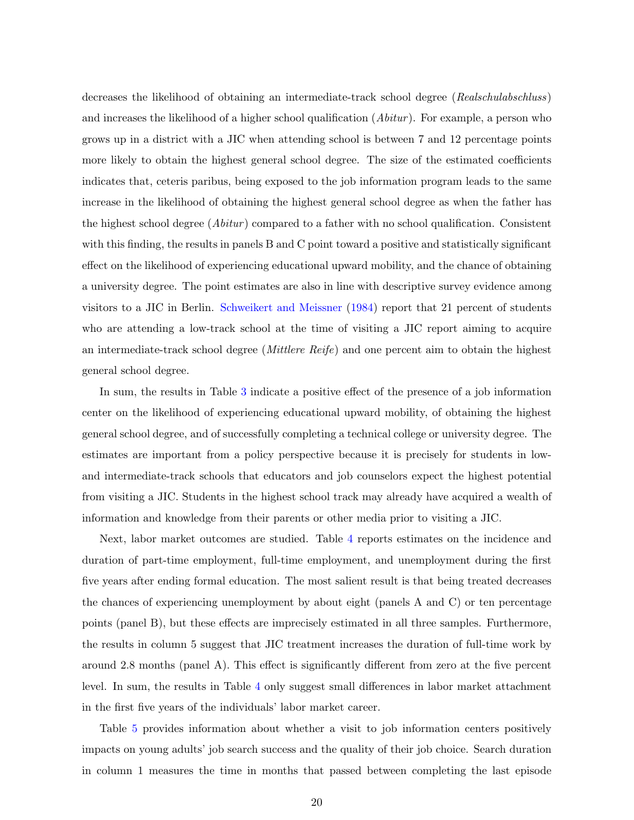decreases the likelihood of obtaining an intermediate-track school degree (Realschulabschluss) and increases the likelihood of a higher school qualification  $(Abitur)$ . For example, a person who grows up in a district with a JIC when attending school is between 7 and 12 percentage points more likely to obtain the highest general school degree. The size of the estimated coefficients indicates that, ceteris paribus, being exposed to the job information program leads to the same increase in the likelihood of obtaining the highest general school degree as when the father has the highest school degree  $(Abitur)$  compared to a father with no school qualification. Consistent with this finding, the results in panels B and C point toward a positive and statistically significant effect on the likelihood of experiencing educational upward mobility, and the chance of obtaining a university degree. The point estimates are also in line with descriptive survey evidence among visitors to a JIC in Berlin. [Schweikert and Meissner](#page-45-8) [\(1984\)](#page-45-8) report that 21 percent of students who are attending a low-track school at the time of visiting a JIC report aiming to acquire an intermediate-track school degree (Mittlere Reife) and one percent aim to obtain the highest general school degree.

In sum, the results in Table [3](#page-37-0) indicate a positive effect of the presence of a job information center on the likelihood of experiencing educational upward mobility, of obtaining the highest general school degree, and of successfully completing a technical college or university degree. The estimates are important from a policy perspective because it is precisely for students in lowand intermediate-track schools that educators and job counselors expect the highest potential from visiting a JIC. Students in the highest school track may already have acquired a wealth of information and knowledge from their parents or other media prior to visiting a JIC.

Next, labor market outcomes are studied. Table [4](#page-38-0) reports estimates on the incidence and duration of part-time employment, full-time employment, and unemployment during the first five years after ending formal education. The most salient result is that being treated decreases the chances of experiencing unemployment by about eight (panels A and C) or ten percentage points (panel B), but these effects are imprecisely estimated in all three samples. Furthermore, the results in column 5 suggest that JIC treatment increases the duration of full-time work by around 2.8 months (panel A). This effect is significantly different from zero at the five percent level. In sum, the results in Table [4](#page-38-0) only suggest small differences in labor market attachment in the first five years of the individuals' labor market career.

Table [5](#page-39-0) provides information about whether a visit to job information centers positively impacts on young adults' job search success and the quality of their job choice. Search duration in column 1 measures the time in months that passed between completing the last episode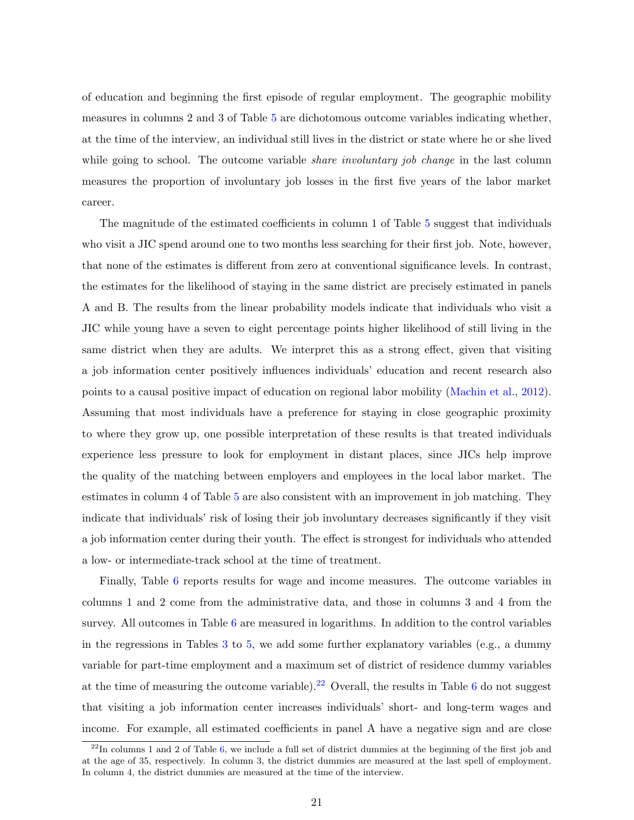of education and beginning the first episode of regular employment. The geographic mobility measures in columns 2 and 3 of Table [5](#page-39-0) are dichotomous outcome variables indicating whether, at the time of the interview, an individual still lives in the district or state where he or she lived while going to school. The outcome variable *share involuntary job change* in the last column measures the proportion of involuntary job losses in the first five years of the labor market career.

The magnitude of the estimated coefficients in column 1 of Table [5](#page-39-0) suggest that individuals who visit a JIC spend around one to two months less searching for their first job. Note, however, that none of the estimates is different from zero at conventional significance levels. In contrast, the estimates for the likelihood of staying in the same district are precisely estimated in panels A and B. The results from the linear probability models indicate that individuals who visit a JIC while young have a seven to eight percentage points higher likelihood of still living in the same district when they are adults. We interpret this as a strong effect, given that visiting a job information center positively influences individuals' education and recent research also points to a causal positive impact of education on regional labor mobility [\(Machin et al.,](#page-44-10) [2012\)](#page-44-10). Assuming that most individuals have a preference for staying in close geographic proximity to where they grow up, one possible interpretation of these results is that treated individuals experience less pressure to look for employment in distant places, since JICs help improve the quality of the matching between employers and employees in the local labor market. The estimates in column 4 of Table [5](#page-39-0) are also consistent with an improvement in job matching. They indicate that individuals' risk of losing their job involuntary decreases significantly if they visit a job information center during their youth. The effect is strongest for individuals who attended a low- or intermediate-track school at the time of treatment.

Finally, Table [6](#page-40-0) reports results for wage and income measures. The outcome variables in columns 1 and 2 come from the administrative data, and those in columns 3 and 4 from the survey. All outcomes in Table [6](#page-40-0) are measured in logarithms. In addition to the control variables in the regressions in Tables  $3$  to  $5$ , we add some further explanatory variables (e.g., a dummy variable for part-time employment and a maximum set of district of residence dummy variables at the time of measuring the outcome variable).<sup>[22](#page-22-0)</sup> Overall, the results in Table [6](#page-40-0) do not suggest that visiting a job information center increases individuals' short- and long-term wages and income. For example, all estimated coefficients in panel A have a negative sign and are close

<span id="page-22-0"></span> $^{22}$ In columns 1 and 2 of Table [6,](#page-40-0) we include a full set of district dummies at the beginning of the first job and at the age of 35, respectively. In column 3, the district dummies are measured at the last spell of employment. In column 4, the district dummies are measured at the time of the interview.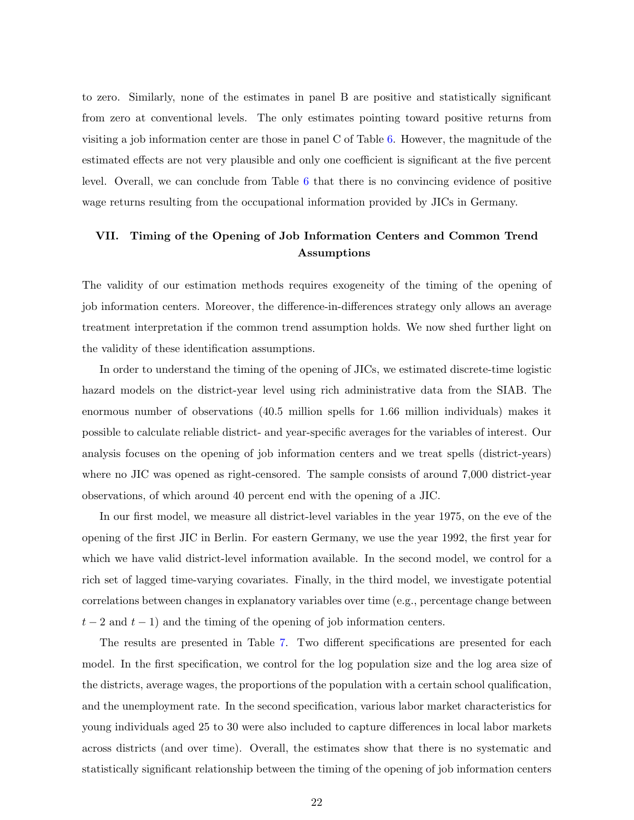to zero. Similarly, none of the estimates in panel B are positive and statistically significant from zero at conventional levels. The only estimates pointing toward positive returns from visiting a job information center are those in panel C of Table [6.](#page-40-0) However, the magnitude of the estimated effects are not very plausible and only one coefficient is significant at the five percent level. Overall, we can conclude from Table [6](#page-40-0) that there is no convincing evidence of positive wage returns resulting from the occupational information provided by JICs in Germany.

### <span id="page-23-0"></span>VII. Timing of the Opening of Job Information Centers and Common Trend Assumptions

The validity of our estimation methods requires exogeneity of the timing of the opening of job information centers. Moreover, the difference-in-differences strategy only allows an average treatment interpretation if the common trend assumption holds. We now shed further light on the validity of these identification assumptions.

In order to understand the timing of the opening of JICs, we estimated discrete-time logistic hazard models on the district-year level using rich administrative data from the SIAB. The enormous number of observations (40.5 million spells for 1.66 million individuals) makes it possible to calculate reliable district- and year-specific averages for the variables of interest. Our analysis focuses on the opening of job information centers and we treat spells (district-years) where no JIC was opened as right-censored. The sample consists of around 7,000 district-year observations, of which around 40 percent end with the opening of a JIC.

In our first model, we measure all district-level variables in the year 1975, on the eve of the opening of the first JIC in Berlin. For eastern Germany, we use the year 1992, the first year for which we have valid district-level information available. In the second model, we control for a rich set of lagged time-varying covariates. Finally, in the third model, we investigate potential correlations between changes in explanatory variables over time (e.g., percentage change between  $t-2$  and  $t-1$ ) and the timing of the opening of job information centers.

The results are presented in Table [7.](#page-41-0) Two different specifications are presented for each model. In the first specification, we control for the log population size and the log area size of the districts, average wages, the proportions of the population with a certain school qualification, and the unemployment rate. In the second specification, various labor market characteristics for young individuals aged 25 to 30 were also included to capture differences in local labor markets across districts (and over time). Overall, the estimates show that there is no systematic and statistically significant relationship between the timing of the opening of job information centers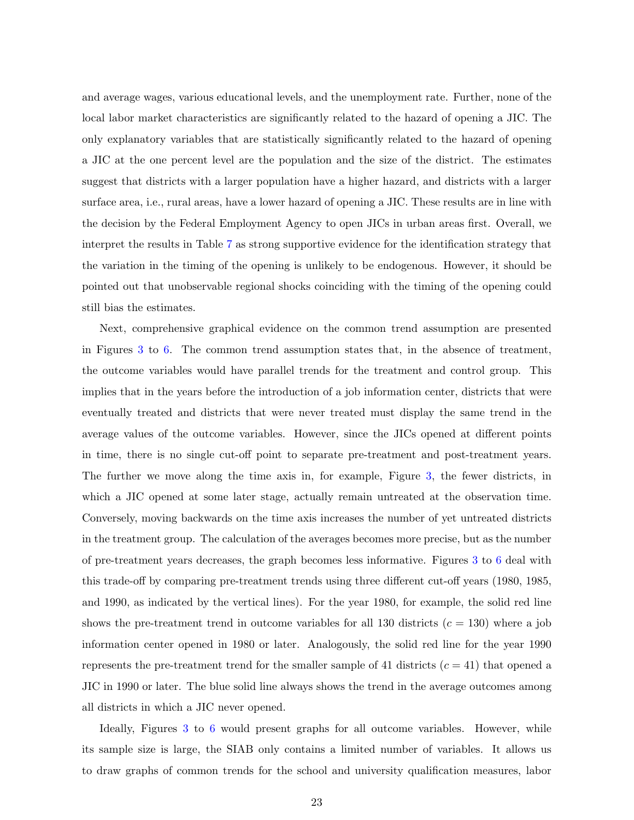and average wages, various educational levels, and the unemployment rate. Further, none of the local labor market characteristics are significantly related to the hazard of opening a JIC. The only explanatory variables that are statistically significantly related to the hazard of opening a JIC at the one percent level are the population and the size of the district. The estimates suggest that districts with a larger population have a higher hazard, and districts with a larger surface area, i.e., rural areas, have a lower hazard of opening a JIC. These results are in line with the decision by the Federal Employment Agency to open JICs in urban areas first. Overall, we interpret the results in Table [7](#page-41-0) as strong supportive evidence for the identification strategy that the variation in the timing of the opening is unlikely to be endogenous. However, it should be pointed out that unobservable regional shocks coinciding with the timing of the opening could still bias the estimates.

Next, comprehensive graphical evidence on the common trend assumption are presented in Figures [3](#page-31-0) to [6.](#page-34-0) The common trend assumption states that, in the absence of treatment, the outcome variables would have parallel trends for the treatment and control group. This implies that in the years before the introduction of a job information center, districts that were eventually treated and districts that were never treated must display the same trend in the average values of the outcome variables. However, since the JICs opened at different points in time, there is no single cut-off point to separate pre-treatment and post-treatment years. The further we move along the time axis in, for example, Figure [3,](#page-31-0) the fewer districts, in which a JIC opened at some later stage, actually remain untreated at the observation time. Conversely, moving backwards on the time axis increases the number of yet untreated districts in the treatment group. The calculation of the averages becomes more precise, but as the number of pre-treatment years decreases, the graph becomes less informative. Figures [3](#page-31-0) to [6](#page-34-0) deal with this trade-off by comparing pre-treatment trends using three different cut-off years (1980, 1985, and 1990, as indicated by the vertical lines). For the year 1980, for example, the solid red line shows the pre-treatment trend in outcome variables for all 130 districts  $(c = 130)$  where a job information center opened in 1980 or later. Analogously, the solid red line for the year 1990 represents the pre-treatment trend for the smaller sample of 41 districts  $(c = 41)$  that opened a JIC in 1990 or later. The blue solid line always shows the trend in the average outcomes among all districts in which a JIC never opened.

Ideally, Figures [3](#page-31-0) to [6](#page-34-0) would present graphs for all outcome variables. However, while its sample size is large, the SIAB only contains a limited number of variables. It allows us to draw graphs of common trends for the school and university qualification measures, labor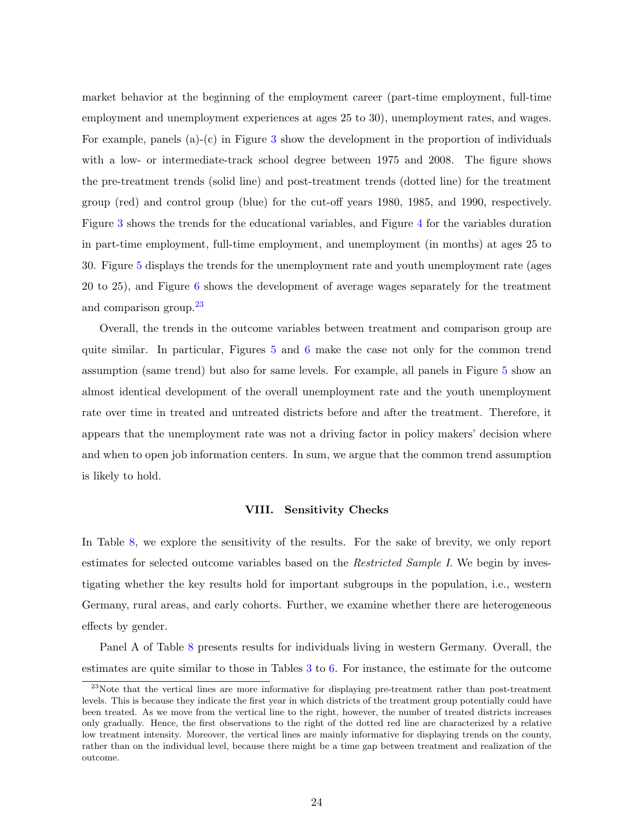market behavior at the beginning of the employment career (part-time employment, full-time employment and unemployment experiences at ages 25 to 30), unemployment rates, and wages. For example, panels (a)-(c) in Figure [3](#page-31-0) show the development in the proportion of individuals with a low- or intermediate-track school degree between 1975 and 2008. The figure shows the pre-treatment trends (solid line) and post-treatment trends (dotted line) for the treatment group (red) and control group (blue) for the cut-off years 1980, 1985, and 1990, respectively. Figure [3](#page-31-0) shows the trends for the educational variables, and Figure [4](#page-32-0) for the variables duration in part-time employment, full-time employment, and unemployment (in months) at ages 25 to 30. Figure [5](#page-33-0) displays the trends for the unemployment rate and youth unemployment rate (ages 20 to 25), and Figure [6](#page-34-0) shows the development of average wages separately for the treatment and comparison group.<sup>[23](#page-25-1)</sup>

Overall, the trends in the outcome variables between treatment and comparison group are quite similar. In particular, Figures [5](#page-33-0) and [6](#page-34-0) make the case not only for the common trend assumption (same trend) but also for same levels. For example, all panels in Figure [5](#page-33-0) show an almost identical development of the overall unemployment rate and the youth unemployment rate over time in treated and untreated districts before and after the treatment. Therefore, it appears that the unemployment rate was not a driving factor in policy makers' decision where and when to open job information centers. In sum, we argue that the common trend assumption is likely to hold.

### VIII. Sensitivity Checks

<span id="page-25-0"></span>In Table [8,](#page-42-0) we explore the sensitivity of the results. For the sake of brevity, we only report estimates for selected outcome variables based on the Restricted Sample I. We begin by investigating whether the key results hold for important subgroups in the population, i.e., western Germany, rural areas, and early cohorts. Further, we examine whether there are heterogeneous effects by gender.

Panel A of Table [8](#page-42-0) presents results for individuals living in western Germany. Overall, the estimates are quite similar to those in Tables [3](#page-37-0) to [6.](#page-40-0) For instance, the estimate for the outcome

<span id="page-25-1"></span><sup>&</sup>lt;sup>23</sup>Note that the vertical lines are more informative for displaying pre-treatment rather than post-treatment levels. This is because they indicate the first year in which districts of the treatment group potentially could have been treated. As we move from the vertical line to the right, however, the number of treated districts increases only gradually. Hence, the first observations to the right of the dotted red line are characterized by a relative low treatment intensity. Moreover, the vertical lines are mainly informative for displaying trends on the county, rather than on the individual level, because there might be a time gap between treatment and realization of the outcome.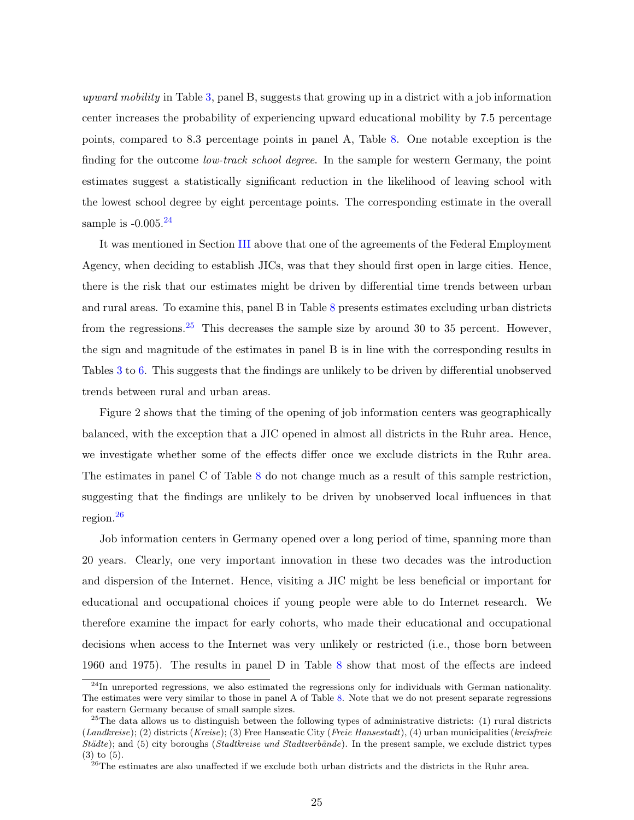upward mobility in Table [3,](#page-37-0) panel B, suggests that growing up in a district with a job information center increases the probability of experiencing upward educational mobility by 7.5 percentage points, compared to 8.3 percentage points in panel A, Table [8.](#page-42-0) One notable exception is the finding for the outcome *low-track school degree*. In the sample for western Germany, the point estimates suggest a statistically significant reduction in the likelihood of leaving school with the lowest school degree by eight percentage points. The corresponding estimate in the overall sample is  $-0.005$ .<sup>[24](#page-26-0)</sup>

It was mentioned in Section [III](#page-7-0) above that one of the agreements of the Federal Employment Agency, when deciding to establish JICs, was that they should first open in large cities. Hence, there is the risk that our estimates might be driven by differential time trends between urban and rural areas. To examine this, panel B in Table [8](#page-42-0) presents estimates excluding urban districts from the regressions.<sup>[25](#page-26-1)</sup> This decreases the sample size by around 30 to 35 percent. However, the sign and magnitude of the estimates in panel B is in line with the corresponding results in Tables [3](#page-37-0) to [6.](#page-40-0) This suggests that the findings are unlikely to be driven by differential unobserved trends between rural and urban areas.

Figure 2 shows that the timing of the opening of job information centers was geographically balanced, with the exception that a JIC opened in almost all districts in the Ruhr area. Hence, we investigate whether some of the effects differ once we exclude districts in the Ruhr area. The estimates in panel C of Table [8](#page-42-0) do not change much as a result of this sample restriction, suggesting that the findings are unlikely to be driven by unobserved local influences in that region.[26](#page-26-2)

Job information centers in Germany opened over a long period of time, spanning more than 20 years. Clearly, one very important innovation in these two decades was the introduction and dispersion of the Internet. Hence, visiting a JIC might be less beneficial or important for educational and occupational choices if young people were able to do Internet research. We therefore examine the impact for early cohorts, who made their educational and occupational decisions when access to the Internet was very unlikely or restricted (i.e., those born between 1960 and 1975). The results in panel D in Table [8](#page-42-0) show that most of the effects are indeed

<span id="page-26-0"></span><sup>&</sup>lt;sup>24</sup>In unreported regressions, we also estimated the regressions only for individuals with German nationality. The estimates were very similar to those in panel A of Table [8.](#page-42-0) Note that we do not present separate regressions for eastern Germany because of small sample sizes.

<span id="page-26-1"></span> $^{25}$ The data allows us to distinguish between the following types of administrative districts: (1) rural districts  $(Landkreise); (2)$  districts  $(Kreise); (3)$  Free Hanseatic City (*Freie Hansestadt*), (4) urban municipalities (*kreisfreie*)  $St\ddot{a}$ te); and (5) city boroughs (Stadtkreise und Stadtverbände). In the present sample, we exclude district types (3) to (5).

<span id="page-26-2"></span><sup>&</sup>lt;sup>26</sup>The estimates are also unaffected if we exclude both urban districts and the districts in the Ruhr area.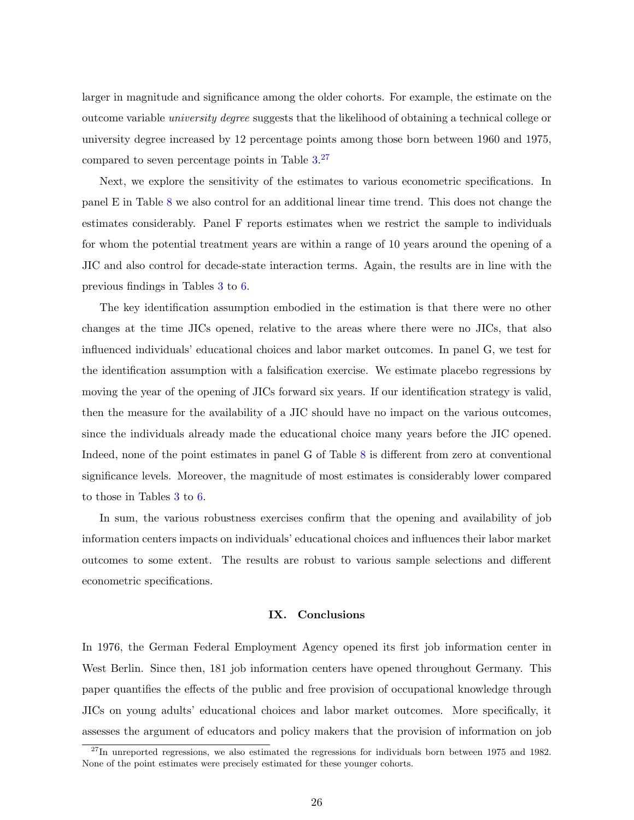larger in magnitude and significance among the older cohorts. For example, the estimate on the outcome variable university degree suggests that the likelihood of obtaining a technical college or university degree increased by 12 percentage points among those born between 1960 and 1975, compared to seven percentage points in Table [3.](#page-37-0)<sup>[27](#page-27-1)</sup>

Next, we explore the sensitivity of the estimates to various econometric specifications. In panel E in Table [8](#page-42-0) we also control for an additional linear time trend. This does not change the estimates considerably. Panel F reports estimates when we restrict the sample to individuals for whom the potential treatment years are within a range of 10 years around the opening of a JIC and also control for decade-state interaction terms. Again, the results are in line with the previous findings in Tables [3](#page-37-0) to [6.](#page-40-0)

The key identification assumption embodied in the estimation is that there were no other changes at the time JICs opened, relative to the areas where there were no JICs, that also influenced individuals' educational choices and labor market outcomes. In panel G, we test for the identification assumption with a falsification exercise. We estimate placebo regressions by moving the year of the opening of JICs forward six years. If our identification strategy is valid, then the measure for the availability of a JIC should have no impact on the various outcomes, since the individuals already made the educational choice many years before the JIC opened. Indeed, none of the point estimates in panel G of Table [8](#page-42-0) is different from zero at conventional significance levels. Moreover, the magnitude of most estimates is considerably lower compared to those in Tables [3](#page-37-0) to [6.](#page-40-0)

In sum, the various robustness exercises confirm that the opening and availability of job information centers impacts on individuals' educational choices and influences their labor market outcomes to some extent. The results are robust to various sample selections and different econometric specifications.

### IX. Conclusions

<span id="page-27-0"></span>In 1976, the German Federal Employment Agency opened its first job information center in West Berlin. Since then, 181 job information centers have opened throughout Germany. This paper quantifies the effects of the public and free provision of occupational knowledge through JICs on young adults' educational choices and labor market outcomes. More specifically, it assesses the argument of educators and policy makers that the provision of information on job

<span id="page-27-1"></span> $^{27}$ In unreported regressions, we also estimated the regressions for individuals born between 1975 and 1982. None of the point estimates were precisely estimated for these younger cohorts.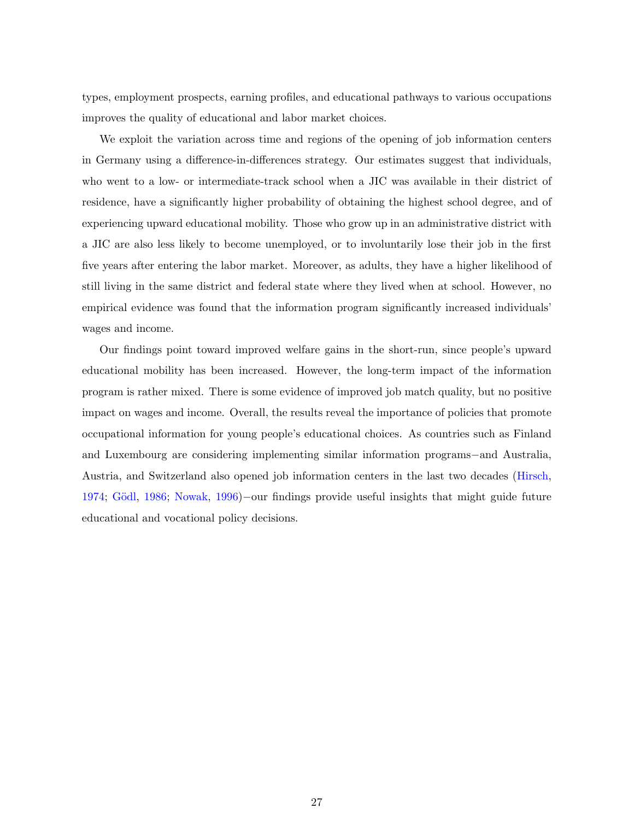types, employment prospects, earning profiles, and educational pathways to various occupations improves the quality of educational and labor market choices.

We exploit the variation across time and regions of the opening of job information centers in Germany using a difference-in-differences strategy. Our estimates suggest that individuals, who went to a low- or intermediate-track school when a JIC was available in their district of residence, have a significantly higher probability of obtaining the highest school degree, and of experiencing upward educational mobility. Those who grow up in an administrative district with a JIC are also less likely to become unemployed, or to involuntarily lose their job in the first five years after entering the labor market. Moreover, as adults, they have a higher likelihood of still living in the same district and federal state where they lived when at school. However, no empirical evidence was found that the information program significantly increased individuals' wages and income.

Our findings point toward improved welfare gains in the short-run, since people's upward educational mobility has been increased. However, the long-term impact of the information program is rather mixed. There is some evidence of improved job match quality, but no positive impact on wages and income. Overall, the results reveal the importance of policies that promote occupational information for young people's educational choices. As countries such as Finland and Luxembourg are considering implementing similar information programs−and Australia, Austria, and Switzerland also opened job information centers in the last two decades [\(Hirsch,](#page-44-11) [1974;](#page-44-11) Gödl, [1986;](#page-43-11) [Nowak,](#page-45-12) [1996\)](#page-45-12)–our findings provide useful insights that might guide future educational and vocational policy decisions.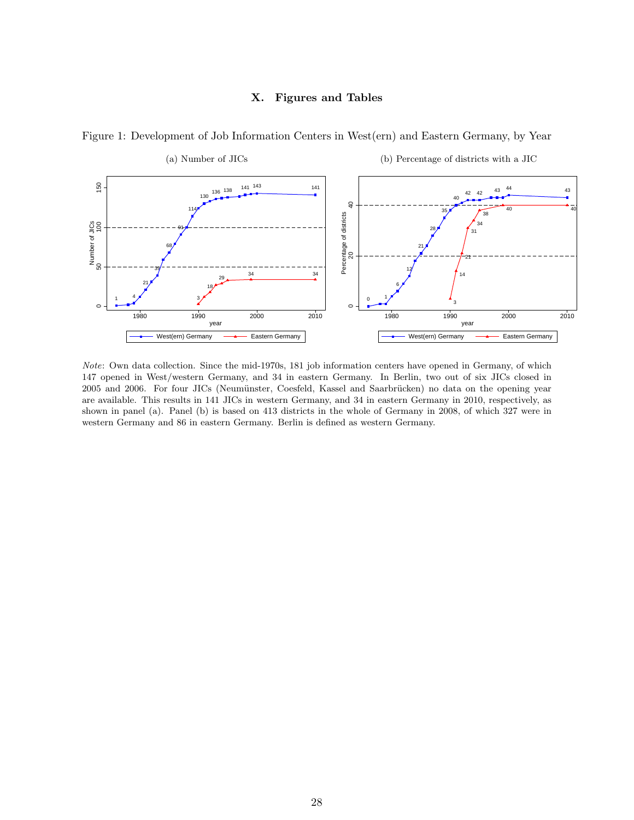### X. Figures and Tables

<span id="page-29-0"></span>

Figure 1: Development of Job Information Centers in West(ern) and Eastern Germany, by Year

Note: Own data collection. Since the mid-1970s, 181 job information centers have opened in Germany, of which 147 opened in West/western Germany, and 34 in eastern Germany. In Berlin, two out of six JICs closed in 2005 and 2006. For four JICs (Neumünster, Coesfeld, Kassel and Saarbrücken) no data on the opening year are available. This results in 141 JICs in western Germany, and 34 in eastern Germany in 2010, respectively, as shown in panel (a). Panel (b) is based on 413 districts in the whole of Germany in 2008, of which 327 were in western Germany and 86 in eastern Germany. Berlin is defined as western Germany.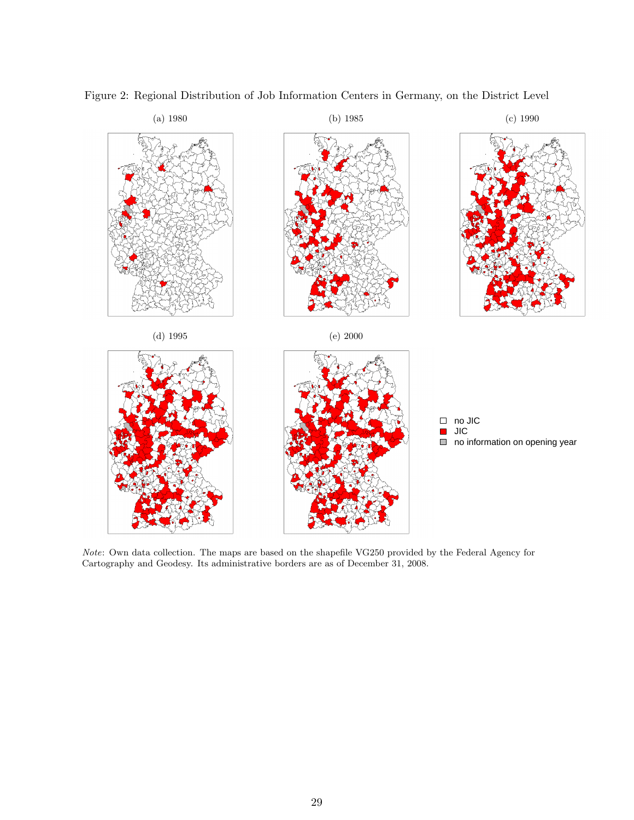

<span id="page-30-0"></span>Figure 2: Regional Distribution of Job Information Centers in Germany, on the District Level

Note: Own data collection. The maps are based on the shapefile VG250 provided by the Federal Agency for Cartography and Geodesy. Its administrative borders are as of December 31, 2008.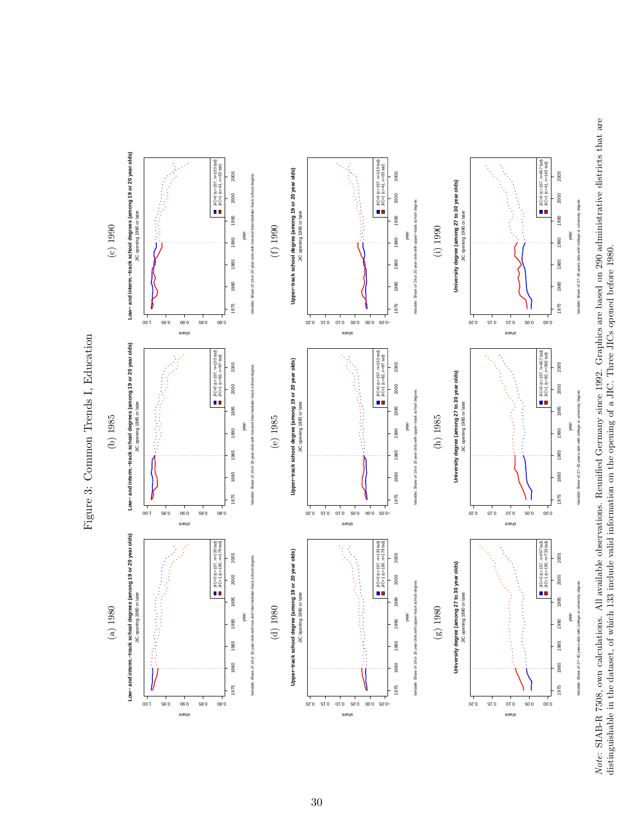Note: SIAB-R 7508, own calculations. All available observations. Reunified Germany since 1992. Graphics are based on 290 administrative districts that are Note: SIAB-R 7508, own calculations. All available observations. Reunified Germany since 1992. Graphics are based on 290 administrative districts that are distinguishable in the dataset, of which 133 include valid information on the opening of a JIC. Three JICs opened before 1980. distinguishable in the dataset, of which 133 include valid information on the opening of a JIC. Three JICs opened before 1980.



<span id="page-31-0"></span>Figure 3: Common Trends I, Education Figure 3: Common Trends I, Education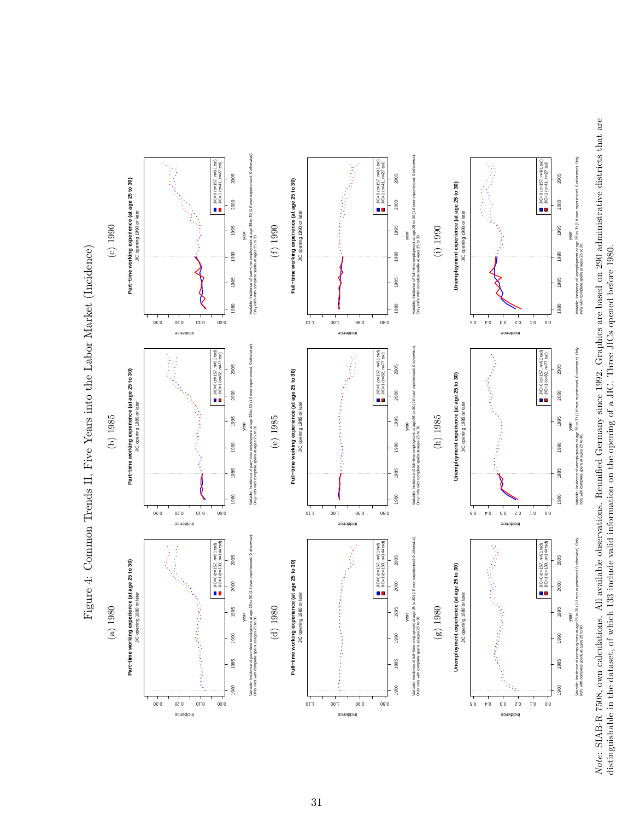Note: SIAB-R 7508, own calculations. All available observations. Reunified Germany since 1992. Graphics are based on 290 administrative districts that are Note: SIAB-R 7508, own calculations. All available observations. Reunified Germany since 1992. Graphics are based on 290 administrative districts that are distinguishable in the dataset, of which 133 include valid information on the opening of a JIC. Three JICs opened before 1980. distinguishable in the dataset, of which 133 include valid information on the opening of a JIC. Three JICs opened before 1980.



<span id="page-32-0"></span>Figure 4: Common Trends II, Five Years into the Labor Market (Incidence) Figure 4: Common Trends II, Five Years into the Labor Market (Incidence)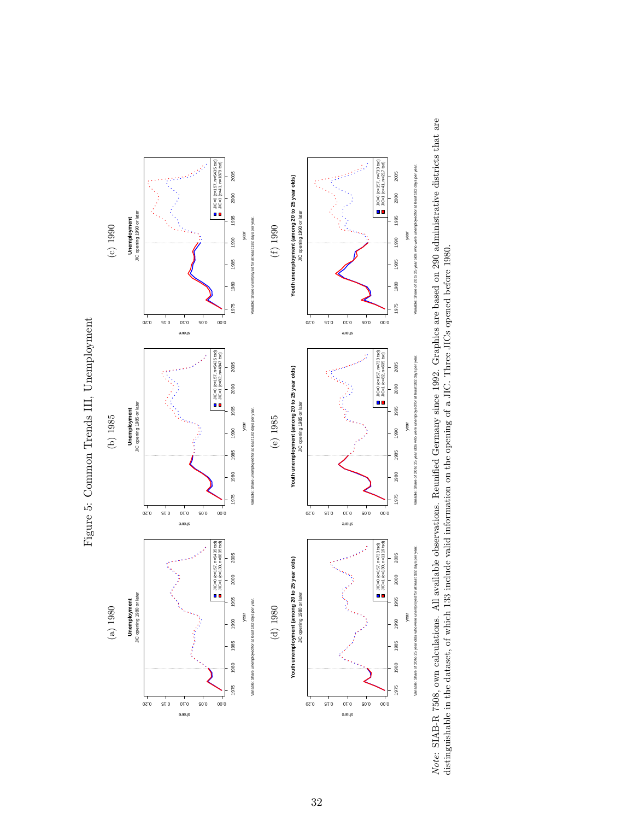<span id="page-33-0"></span>

Note: SIAB-R 7508, own calculations. All available observations. Reunified Germany since 1992. Graphics are based on 290 administrative districts that are Note: SIAB-R 7508, own calculations. All available observations. Reunified Germany since 1992. Graphics are based on 290 administrative districts that are<br>distinguishable in the dataset, of which 133 include valid informat distinguishable in the dataset, of which 133 include valid information on the opening of a JIC. Three JICs opened before 1980.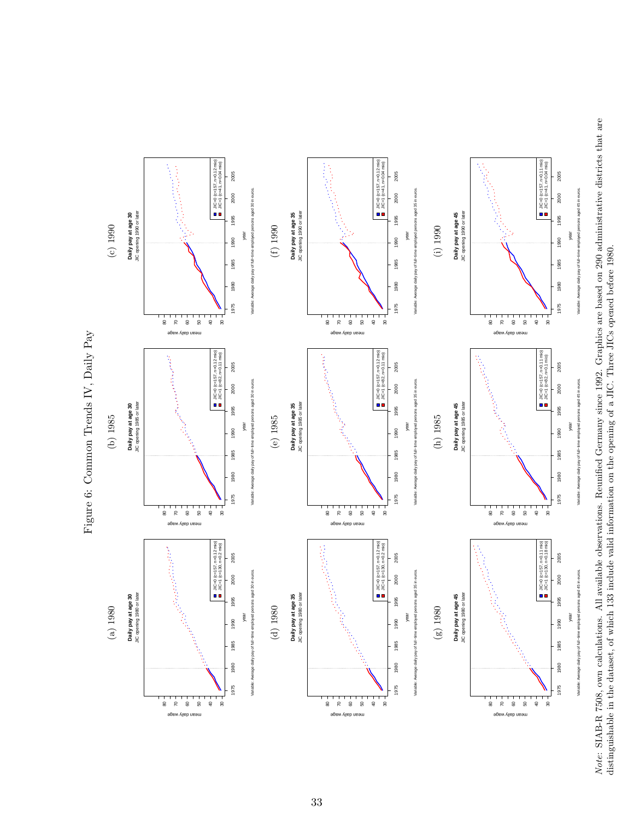Note: SIAB-R 7508, own calculations. All available observations. Reunified Germany since 1992. Graphics are based on 290 administrative districts that are distinguishable in the dataset, of which 133 include valid informat Note: SIAB-R 7508, own calculations. All available observations. Reunified Germany since 1992. Graphics are based on 290 administrative districts that are distinguishable in the dataset, of which 133 include valid information on the opening of a JIC. Three JICs opened before 1980.



# <span id="page-34-0"></span>Figure 6: Common Trends IV, Daily Pay Figure 6: Common Trends IV, Daily Pay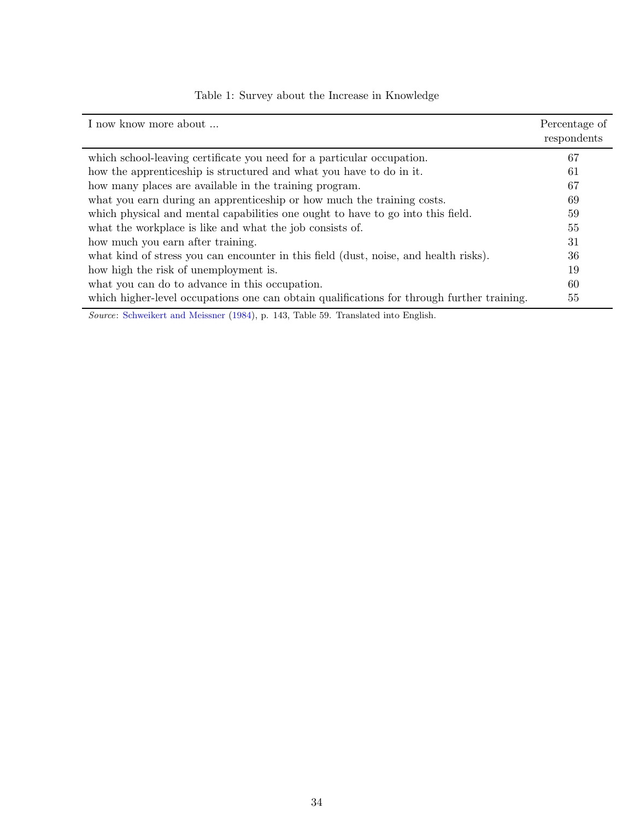<span id="page-35-0"></span>

| I now know more about                                                                      | Percentage of<br>respondents |
|--------------------------------------------------------------------------------------------|------------------------------|
| which school-leaving certificate you need for a particular occupation.                     | 67                           |
| how the apprenticeship is structured and what you have to do in it.                        | 61                           |
| how many places are available in the training program.                                     | 67                           |
| what you earn during an apprenticeship or how much the training costs.                     | 69                           |
| which physical and mental capabilities one ought to have to go into this field.            | 59                           |
| what the workplace is like and what the job consists of.                                   | 55                           |
| how much you earn after training.                                                          | 31                           |
| what kind of stress you can encounter in this field (dust, noise, and health risks).       | 36                           |
| how high the risk of unemployment is.                                                      | 19                           |
| what you can do to advance in this occupation.                                             | 60                           |
| which higher-level occupations one can obtain qualifications for through further training. | 55                           |

Table 1: Survey about the Increase in Knowledge

Source: [Schweikert and Meissner](#page-45-8) [\(1984\)](#page-45-8), p. 143, Table 59. Translated into English.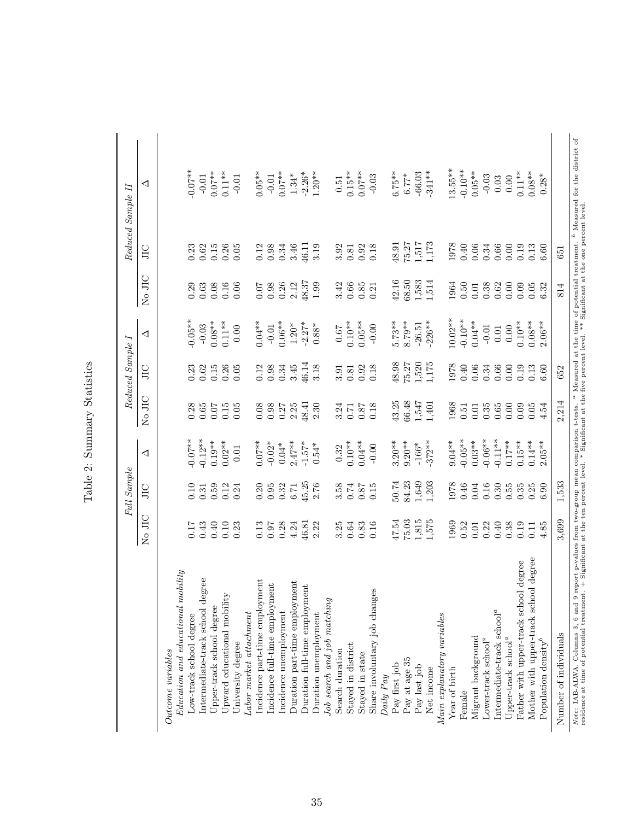|                                                                                 |                               | Full Sample |            |        | Reduced Sample I |           |          |                                                                                                                           | Reduced Sample II                                                                                                                                           |
|---------------------------------------------------------------------------------|-------------------------------|-------------|------------|--------|------------------|-----------|----------|---------------------------------------------------------------------------------------------------------------------------|-------------------------------------------------------------------------------------------------------------------------------------------------------------|
|                                                                                 | $_{\rm H C}$<br>$\frac{1}{2}$ | JЦ          | ◁          | No JIC | ЭIС              | ◁         | No JIC   | ЭIС                                                                                                                       | ◁                                                                                                                                                           |
| Outcome variables                                                               |                               |             |            |        |                  |           |          |                                                                                                                           |                                                                                                                                                             |
| $Education$ and educational mobility                                            |                               |             |            |        |                  |           |          |                                                                                                                           |                                                                                                                                                             |
| Low-track school degree                                                         | 71.7                          | 0.10        | $-0.07**$  | 0.28   | 0.23             | $-0.05**$ | 0.29     |                                                                                                                           | $-0.07**$                                                                                                                                                   |
| Intermediate-track school degree                                                | 0.43                          | 0.31        | $-0.12**$  | 0.65   | 0.62             | $-0.03$   | 0.63     |                                                                                                                           | $-0.01$                                                                                                                                                     |
| Upper-track school degree                                                       | 0.40                          | 0.59        | $0.19**$   | 0.07   | 0.15             | $0.08**$  | 0.08     |                                                                                                                           | $0.07***$                                                                                                                                                   |
| Upward educational mobility                                                     | 0.10                          | 0.12        | $0.02***$  | 0.15   | 0.26             | $0.11***$ | $0.16\,$ |                                                                                                                           | $0.11**$                                                                                                                                                    |
| University degree                                                               | 0.23                          | 0.24        | $0.01$     | 0.05   | 0.05             | 0.00      | 0.06     | $0.33$<br>$0.62$<br>$0.15$<br>$0.05$<br>$0.05$                                                                            | $-0.01$                                                                                                                                                     |
| Labor market attachment                                                         |                               |             |            |        |                  |           |          |                                                                                                                           |                                                                                                                                                             |
| Incidence part-time employment                                                  | 0.13                          | 0.20        | $0.07***$  | 0.08   | 0.12             | $0.04***$ | 0.07     |                                                                                                                           | $0.05**$                                                                                                                                                    |
| Incidence full-time employment                                                  | 0.97                          | 0.95        | $-0.02*$   | 0.98   | 0.98             | $-0.01$   | 0.98     | $\begin{array}{c} 0.12 \\ 0.98 \end{array}$                                                                               | $-0.01$                                                                                                                                                     |
| Incidence unemployment                                                          | 0.28                          | 0.32        | $0.04*$    | 0.27   | 0.34             | $0.06***$ | 0.26     | $\!0.34\!$                                                                                                                | $0.07***$                                                                                                                                                   |
| Duration part-time employment                                                   | 4.24                          | $6.71\,$    | $2.47***$  | 2.25   | 3.45             | $1.20*$   | 2.12     | 3.46                                                                                                                      | $1.34*$                                                                                                                                                     |
| Duration full-time employment                                                   | 46.81                         | 45.25       | $-1.57*$   | 48.41  | 46.14            | $-2.27*$  | 48.37    | 46.11                                                                                                                     | $-2.26*$                                                                                                                                                    |
| Duration unemployment                                                           | 2.22                          | 2.76        | $0.54*$    | 2.30   | 3.18             | $0.88^*$  | 1.99     | 3.19                                                                                                                      | $1.20**$                                                                                                                                                    |
| Job search and job matching                                                     |                               |             |            |        |                  |           |          |                                                                                                                           |                                                                                                                                                             |
| Search duration                                                                 | 3.25                          | 3.58        | $\,0.32$   | 3.24   | 3.91             | $\!79.0$  | 3.42     | 3.92                                                                                                                      | $0.51\,$                                                                                                                                                    |
| Stayed in district                                                              | 0.64                          | 0.74        | $0.10**$   | 0.71   | 0.81             | $0.10**$  | 0.66     | 0.81                                                                                                                      | $0.15***$                                                                                                                                                   |
| Stayed in state                                                                 | 0.83                          | 0.87        | $0.04**$   | 0.87   | 0.92             | $0.05***$ | $0.85\,$ | 0.92                                                                                                                      | $0.07***$                                                                                                                                                   |
| Share involuntary job changes                                                   | 0.16                          | 0.15        | $-0.00$    | 0.18   | 0.18             | $-0.00$   | 0.21     | 0.18                                                                                                                      | $-0.03$                                                                                                                                                     |
| Daily Pay                                                                       |                               |             |            |        |                  |           |          |                                                                                                                           |                                                                                                                                                             |
| Pay first job                                                                   | 47.54                         | 50.74       | $3.20***$  | 43.25  | 48.98            | $5.73**$  | 42.16    | 48.91                                                                                                                     | $6.75***$                                                                                                                                                   |
| Pay at age 35                                                                   | 75.03                         | 84.23       | $9.20***$  | 66.48  | 75.27            | 8.79**    | 68.50    | 75.27                                                                                                                     | $6.77*$                                                                                                                                                     |
| Pay last job                                                                    |                               | 1,649       | $-166*$    | 1,547  | 1,520            | $-26.51$  | 1,583    | 1,517                                                                                                                     | $-66.03$                                                                                                                                                    |
| Net income                                                                      | $1,815$<br>$1,575$            | 1,203       | $-372**$   | 1,401  | 175              | $-226**$  | 1,514    | 1,173                                                                                                                     | $-341**$                                                                                                                                                    |
| Main explanatory variables                                                      |                               |             |            |        |                  |           |          |                                                                                                                           |                                                                                                                                                             |
| Year of birth                                                                   | 1969                          | 1978        | $9.04***$  | 1968   | 1978             | $10.02**$ | 1964     | 1978                                                                                                                      | $13.55***$                                                                                                                                                  |
| Female                                                                          | 0.52                          | $0.46$      | $-0.05***$ | 0.51   | $0.40\,$         | $-0.10**$ | 0.50     | $0.40\,$                                                                                                                  | $-0.10**$                                                                                                                                                   |
| Migrant background                                                              | 0.01                          | 0.04        | $0.03**$   | 0.01   | 0.06             | $0.04***$ | 0.01     | $0.06\,$                                                                                                                  | $0.05**$                                                                                                                                                    |
| Lower-track school <sup>a</sup>                                                 | 0.22                          | 0.16        | $-0.06**$  | 0.35   | 0.34             | $-0.01$   | 0.38     | 0.34                                                                                                                      | $-0.03$                                                                                                                                                     |
| $\rm{Intermediate\text{-}track\,\, school^{a}}$                                 | 0.40                          | 0.30        | $-0.11**$  | 0.65   | $0.66\,$         | $0.01\,$  | 0.62     | $0.66\,$                                                                                                                  | 0.03                                                                                                                                                        |
| Upper-track school <sup>a</sup>                                                 | 0.38                          | 0.55        | $0.17**$   | 0.00   | 0.00             | $0.00$    | 0.00     | $0.00\,$                                                                                                                  | 0.00                                                                                                                                                        |
| Father with upper-track school degree                                           | 0.19                          | 0.35        | $0.15***$  | 0.09   | 0.19             | $0.10**$  | 0.09     | 0.19                                                                                                                      | $0.11***$                                                                                                                                                   |
| Mother with upper-track school degree                                           | 0.11                          | 0.25        | $0.14***$  | 0.05   | 0.13             | $0.08**$  | 0.05     | 0.13                                                                                                                      | $0.08**$                                                                                                                                                    |
| Population density <sup>b</sup>                                                 | 4.85                          | 6.90        | $2.05**$   | 4.54   | 6.60             | $2.06**$  | 6.32     | 6.60                                                                                                                      | $0.28*$                                                                                                                                                     |
| Number of individuals                                                           | 3,699                         | 1,533       |            | 2,214  | 652              |           | 814      | 651                                                                                                                       |                                                                                                                                                             |
| residence at time of potential treatment.<br>Note: IAB-ALWA. Columns 3, 6 and 9 |                               |             |            |        |                  |           |          | + Significant at the ten percent level. * Significant at the five percent level. ** Significant at the one percent level. | report p-values from two-group mean comparison t-tests. <sup>4</sup> Measured at the time of potential treatment. <sup>4</sup> Measured for the district of |
|                                                                                 |                               |             |            |        |                  |           |          |                                                                                                                           |                                                                                                                                                             |

<span id="page-36-0"></span>Table 2: Summary Statistics Table 2: Summary Statistics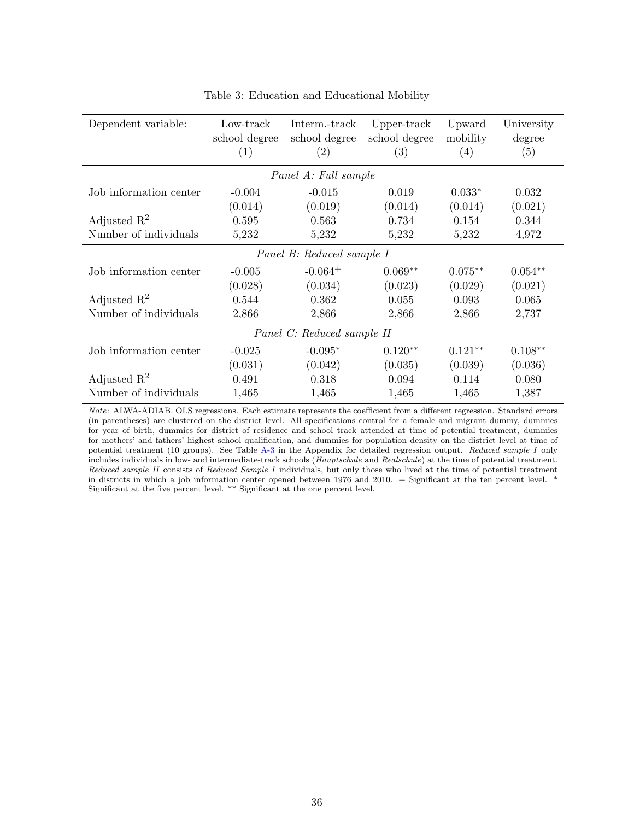<span id="page-37-0"></span>

| Dependent variable:     | Low-track<br>school degree<br>$\left( 1\right)$ | Interm.-track<br>school degree<br>$\left( 2\right)$ | Upper-track<br>school degree<br>(3) | Upward<br>mobility<br>$\left( 4\right)$ | University<br>degree<br>(5) |
|-------------------------|-------------------------------------------------|-----------------------------------------------------|-------------------------------------|-----------------------------------------|-----------------------------|
|                         |                                                 | Panel A: Full sample                                |                                     |                                         |                             |
| Job information center  | $-0.004$                                        | $-0.015$                                            | 0.019                               | $0.033*$                                | 0.032                       |
|                         | (0.014)                                         | (0.019)                                             | (0.014)                             | (0.014)                                 | (0.021)                     |
| Adjusted $\mathbb{R}^2$ | 0.595                                           | 0.563                                               | 0.734                               | 0.154                                   | 0.344                       |
| Number of individuals   | 5,232                                           | 5,232                                               | 5,232                               | 5,232                                   | 4,972                       |
|                         |                                                 | Panel B: Reduced sample I                           |                                     |                                         |                             |
| Job information center  | $-0.005$                                        | $-0.064$ <sup>+</sup>                               | $0.069**$                           | $0.075**$                               | $0.054**$                   |
|                         | (0.028)                                         | (0.034)                                             | (0.023)                             | (0.029)                                 | (0.021)                     |
| Adjusted $\mathbb{R}^2$ | 0.544                                           | 0.362                                               | 0.055                               | 0.093                                   | 0.065                       |
| Number of individuals   | 2,866                                           | 2,866                                               | 2,866                               | 2,866                                   | 2,737                       |
|                         |                                                 | Panel C: Reduced sample II                          |                                     |                                         |                             |
| Job information center  | $-0.025$                                        | $-0.095*$                                           | $0.120**$                           | $0.121**$                               | $0.108**$                   |
|                         | (0.031)                                         | (0.042)                                             | (0.035)                             | (0.039)                                 | (0.036)                     |
| Adjusted $\mathbb{R}^2$ | 0.491                                           | 0.318                                               | 0.094                               | 0.114                                   | 0.080                       |
| Number of individuals   | 1,465                                           | 1,465                                               | 1,465                               | 1,465                                   | 1,387                       |

Table 3: Education and Educational Mobility

Note: ALWA-ADIAB. OLS regressions. Each estimate represents the coefficient from a different regression. Standard errors (in parentheses) are clustered on the district level. All specifications control for a female and migrant dummy, dummies for year of birth, dummies for district of residence and school track attended at time of potential treatment, dummies for mothers' and fathers' highest school qualification, and dummies for population density on the district level at time of potential treatment (10 groups). See Table [A-3](#page-51-0) in the Appendix for detailed regression output. Reduced sample I only includes individuals in low- and intermediate-track schools (Hauptschule and Realschule) at the time of potential treatment. Reduced sample II consists of Reduced Sample I individuals, but only those who lived at the time of potential treatment in districts in which a job information center opened between 1976 and 2010. + Significant at the ten percent level. \* Significant at the five percent level. \*\* Significant at the one percent level.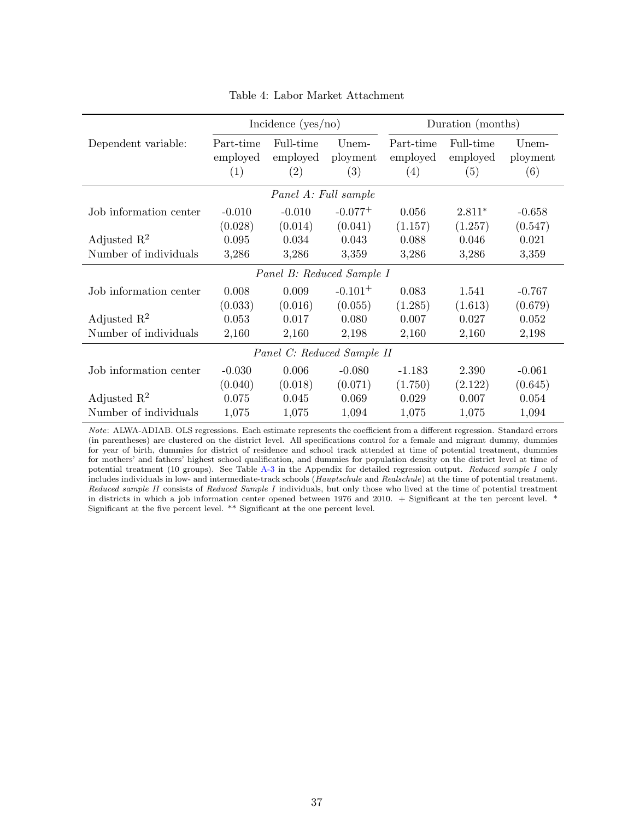<span id="page-38-0"></span>

|                         |                              | Incidence $(yes/no)$         |                          |                              | Duration (months)            |                          |
|-------------------------|------------------------------|------------------------------|--------------------------|------------------------------|------------------------------|--------------------------|
| Dependent variable:     | Part-time<br>employed<br>(1) | Full-time<br>employed<br>(2) | Unem-<br>ployment<br>(3) | Part-time<br>employed<br>(4) | Full-time<br>employed<br>(5) | Unem-<br>ployment<br>(6) |
|                         |                              | Panel A: Full sample         |                          |                              |                              |                          |
| Job information center  | $-0.010$<br>(0.028)          | $-0.010$<br>(0.014)          | $-0.077+$<br>(0.041)     | 0.056<br>(1.157)             | $2.811*$<br>(1.257)          | $-0.658$<br>(0.547)      |
| Adjusted $\mathbb{R}^2$ | 0.095                        | 0.034                        | 0.043                    | 0.088                        | 0.046                        | 0.021                    |
| Number of individuals   | 3,286                        | 3,286                        | 3,359                    | 3,286                        | 3,286                        | 3,359                    |
|                         |                              | Panel B: Reduced Sample I    |                          |                              |                              |                          |
| Job information center  | 0.008                        | 0.009                        | $-0.101 +$               | 0.083                        | 1.541                        | $-0.767$                 |
|                         | (0.033)                      | (0.016)                      | (0.055)                  | (1.285)                      | (1.613)                      | (0.679)                  |
| Adjusted $\mathbb{R}^2$ | 0.053                        | 0.017                        | 0.080                    | 0.007                        | 0.027                        | 0.052                    |
| Number of individuals   | 2,160                        | 2,160                        | 2,198                    | 2,160                        | 2,160                        | 2,198                    |
|                         |                              | Panel C: Reduced Sample II   |                          |                              |                              |                          |
| Job information center  | $-0.030$                     | 0.006                        | $-0.080$                 | $-1.183$                     | 2.390                        | $-0.061$                 |
|                         | (0.040)                      | (0.018)                      | (0.071)                  | (1.750)                      | (2.122)                      | (0.645)                  |
| Adjusted $\mathbb{R}^2$ | 0.075                        | 0.045                        | 0.069                    | 0.029                        | 0.007                        | 0.054                    |
| Number of individuals   | 1,075                        | 1,075                        | 1,094                    | 1,075                        | 1,075                        | 1,094                    |

Table 4: Labor Market Attachment

Note: ALWA-ADIAB. OLS regressions. Each estimate represents the coefficient from a different regression. Standard errors (in parentheses) are clustered on the district level. All specifications control for a female and migrant dummy, dummies for year of birth, dummies for district of residence and school track attended at time of potential treatment, dummies for mothers' and fathers' highest school qualification, and dummies for population density on the district level at time of potential treatment (10 groups). See Table [A-3](#page-51-0) in the Appendix for detailed regression output. Reduced sample I only includes individuals in low- and intermediate-track schools (Hauptschule and Realschule) at the time of potential treatment. Reduced sample II consists of Reduced Sample I individuals, but only those who lived at the time of potential treatment in districts in which a job information center opened between 1976 and 2010. + Significant at the ten percent level. \* Significant at the five percent level. \*\* Significant at the one percent level.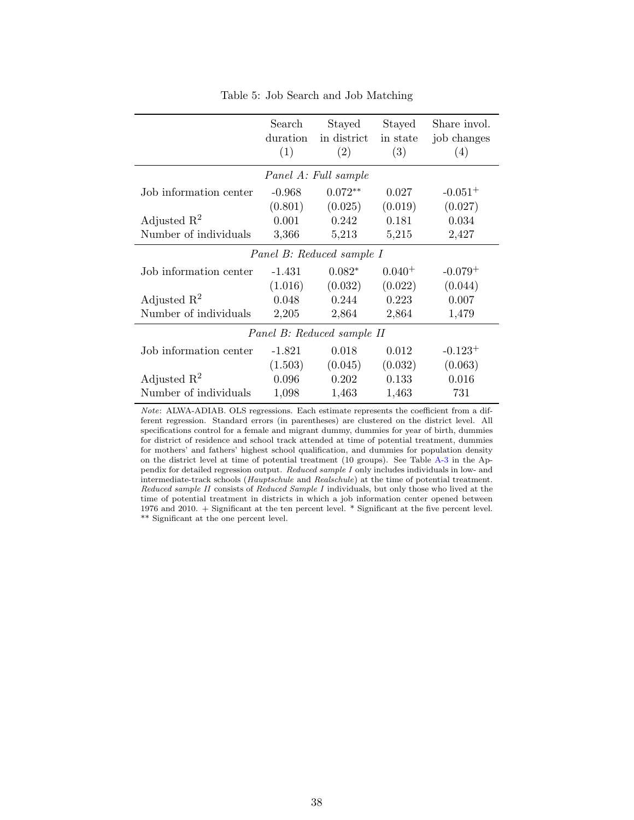<span id="page-39-0"></span>

|                         | Search<br>duration<br>(1) | Stayed<br>in district<br>(2) | Stayed<br>in state<br>(3) | Share invol.<br>job changes<br>(4) |
|-------------------------|---------------------------|------------------------------|---------------------------|------------------------------------|
|                         |                           | Panel A: Full sample         |                           |                                    |
| Job information center  | $-0.968$                  | $0.072**$                    | 0.027                     | $-0.051+$                          |
|                         | (0.801)                   | (0.025)                      | (0.019)                   | (0.027)                            |
| Adjusted $\mathbb{R}^2$ | 0.001                     | 0.242                        | 0.181                     | 0.034                              |
| Number of individuals   | 3,366                     | 5,213                        | 5,215                     | 2,427                              |
|                         |                           | Panel B: Reduced sample I    |                           |                                    |
| Job information center  | $-1.431$                  | $0.082*$                     | $0.040^{+}$               | $-0.079+$                          |
|                         | (1.016)                   | (0.032)                      | (0.022)                   | (0.044)                            |
| Adjusted $\mathbb{R}^2$ | 0.048                     | 0.244                        | 0.223                     | 0.007                              |
| Number of individuals   | 2,205                     | 2,864                        | 2,864                     | 1,479                              |
|                         |                           | Panel B: Reduced sample II   |                           |                                    |
| Job information center  | $-1.821$                  | 0.018                        | 0.012                     | $-0.123+$                          |
|                         | (1.503)                   | (0.045)                      | (0.032)                   | (0.063)                            |
| Adjusted $\mathbb{R}^2$ | 0.096                     | 0.202                        | 0.133                     | 0.016                              |
| Number of individuals   | 1,098                     | 1,463                        | 1,463                     | 731                                |

Table 5: Job Search and Job Matching

Note: ALWA-ADIAB. OLS regressions. Each estimate represents the coefficient from a different regression. Standard errors (in parentheses) are clustered on the district level. All specifications control for a female and migrant dummy, dummies for year of birth, dummies for district of residence and school track attended at time of potential treatment, dummies for mothers' and fathers' highest school qualification, and dummies for population density on the district level at time of potential treatment (10 groups). See Table [A-3](#page-51-0) in the Appendix for detailed regression output. Reduced sample I only includes individuals in low- and intermediate-track schools (Hauptschule and Realschule) at the time of potential treatment. Reduced sample II consists of Reduced Sample I individuals, but only those who lived at the time of potential treatment in districts in which a job information center opened between 1976 and 2010. + Significant at the ten percent level. \* Significant at the five percent level. \*\* Significant at the one percent level.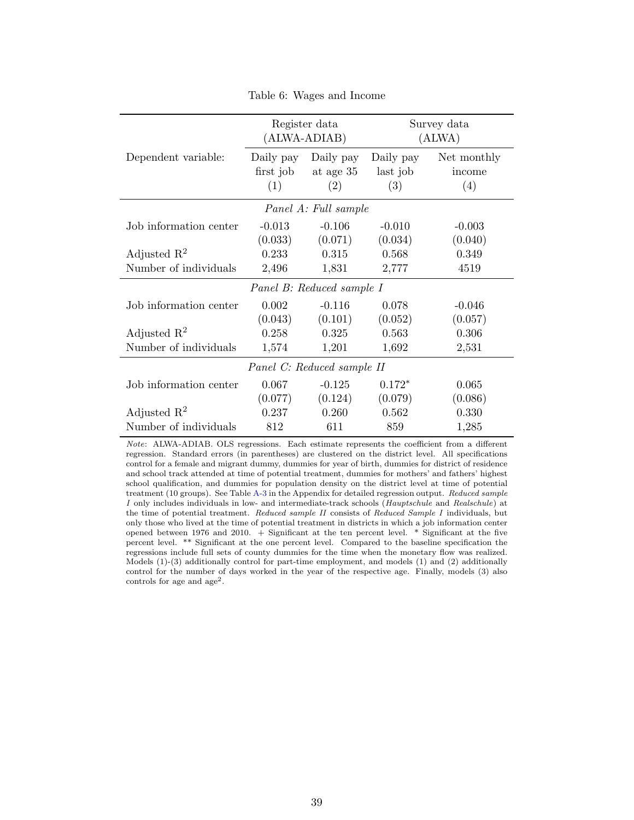<span id="page-40-0"></span>

|                         |                               | Register data<br>(ALWA-ADIAB) |                              | Survey data<br>(ALWA)        |
|-------------------------|-------------------------------|-------------------------------|------------------------------|------------------------------|
| Dependent variable:     | Daily pay<br>first job<br>(1) | Daily pay<br>at age 35<br>(2) | Daily pay<br>last job<br>(3) | Net monthly<br>income<br>(4) |
|                         |                               | Panel A: Full sample          |                              |                              |
| Job information center  | $-0.013$                      | $-0.106$                      | $-0.010$                     | $-0.003$                     |
| Adjusted $\mathbb{R}^2$ | (0.033)<br>0.233              | (0.071)<br>0.315              | (0.034)<br>0.568             | (0.040)<br>0.349             |
| Number of individuals   | 2,496                         | 1,831                         | 2,777                        | 4519                         |
|                         |                               | Panel B: Reduced sample I     |                              |                              |
| Job information center  | 0.002                         | $-0.116$                      | 0.078                        | $-0.046$                     |
| Adjusted $\mathbb{R}^2$ | (0.043)<br>0.258              | (0.101)<br>0.325              | (0.052)<br>0.563             | (0.057)<br>0.306             |
| Number of individuals   | 1,574                         | 1,201                         | 1,692                        | 2,531                        |
|                         |                               | Panel C: Reduced sample II    |                              |                              |
| Job information center  | 0.067                         | $-0.125$                      | $0.172*$                     | 0.065                        |
|                         | (0.077)                       | (0.124)                       | (0.079)                      | (0.086)                      |
| Adjusted $\mathbb{R}^2$ | 0.237                         | 0.260                         | 0.562                        | 0.330                        |
| Number of individuals   | 812                           | 611                           | 859                          | 1,285                        |

Table 6: Wages and Income

Note: ALWA-ADIAB. OLS regressions. Each estimate represents the coefficient from a different regression. Standard errors (in parentheses) are clustered on the district level. All specifications control for a female and migrant dummy, dummies for year of birth, dummies for district of residence and school track attended at time of potential treatment, dummies for mothers' and fathers' highest school qualification, and dummies for population density on the district level at time of potential treatment (10 groups). See Table [A-3](#page-51-0) in the Appendix for detailed regression output. Reduced sample I only includes individuals in low- and intermediate-track schools (Hauptschule and Realschule) at the time of potential treatment. Reduced sample II consists of Reduced Sample I individuals, but only those who lived at the time of potential treatment in districts in which a job information center opened between 1976 and 2010. + Significant at the ten percent level. \* Significant at the five percent level. \*\* Significant at the one percent level. Compared to the baseline specification the regressions include full sets of county dummies for the time when the monetary flow was realized. Models (1)-(3) additionally control for part-time employment, and models (1) and (2) additionally control for the number of days worked in the year of the respective age. Finally, models (3) also controls for age and  $age<sup>2</sup>$ .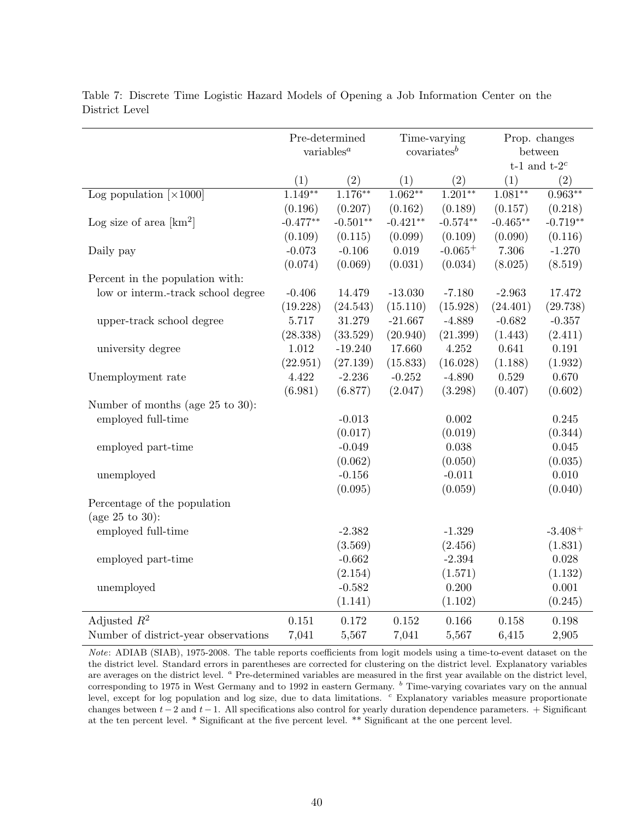|                                           |                         | Pre-determined                |                | Time-varying |             | Prop. changes               |
|-------------------------------------------|-------------------------|-------------------------------|----------------|--------------|-------------|-----------------------------|
|                                           |                         | variables <sup><i>a</i></sup> | $covariates^b$ |              |             | between<br>t-1 and t-2 $^c$ |
|                                           | (1)                     | (2)                           | (1)            | (2)          | (1)         | (2)                         |
| Log population $\left[\times 1000\right]$ | $1.\overline{149}^{**}$ | $1.176***$                    | $1.062**$      | $1.201**$    | $1.081**$   | $0.963**$                   |
|                                           | (0.196)                 | (0.207)                       | (0.162)        | (0.189)      | (0.157)     | (0.218)                     |
| Log size of area $[km^2]$                 | $-0.477**$              | $-0.501**$                    | $-0.421**$     | $-0.574**$   | $-0.465**$  | $-0.719**$                  |
|                                           | (0.109)                 | (0.115)                       | (0.099)        | (0.109)      | (0.090)     | (0.116)                     |
| Daily pay                                 | $-0.073$                | $-0.106$                      | $0.019\,$      | $-0.065+$    | 7.306       | $-1.270$                    |
|                                           | (0.074)                 | (0.069)                       | (0.031)        | (0.034)      | (8.025)     | (8.519)                     |
| Percent in the population with:           |                         |                               |                |              |             |                             |
| low or interm.-track school degree        | $-0.406$                | 14.479                        | $-13.030$      | $-7.180$     | $-2.963$    | 17.472                      |
|                                           | (19.228)                | (24.543)                      | (15.110)       | (15.928)     | (24.401)    | (29.738)                    |
| upper-track school degree                 | 5.717                   | 31.279                        | $-21.667$      | $-4.889$     | $-0.682$    | $-0.357$                    |
|                                           | (28.338)                | (33.529)                      | (20.940)       | (21.399)     | (1.443)     | (2.411)                     |
| university degree                         | 1.012                   | $-19.240$                     | 17.660         | 4.252        | 0.641       | 0.191                       |
|                                           | (22.951)                | (27.139)                      | (15.833)       | (16.028)     | (1.188)     | (1.932)                     |
| Unemployment rate                         | 4.422                   | $-2.236$                      | $-0.252$       | $-4.890$     | $\,0.529\,$ | 0.670                       |
|                                           | (6.981)                 | (6.877)                       | (2.047)        | (3.298)      | (0.407)     | (0.602)                     |
| Number of months (age 25 to 30):          |                         |                               |                |              |             |                             |
| employed full-time                        |                         | $-0.013$                      |                | 0.002        |             | 0.245                       |
|                                           |                         | (0.017)                       |                | (0.019)      |             | (0.344)                     |
| employed part-time                        |                         | $-0.049$                      |                | 0.038        |             | 0.045                       |
|                                           |                         | (0.062)                       |                | (0.050)      |             | (0.035)                     |
| unemployed                                |                         | $-0.156$                      |                | $-0.011$     |             | 0.010                       |
|                                           |                         | (0.095)                       |                | (0.059)      |             | (0.040)                     |
| Percentage of the population              |                         |                               |                |              |             |                             |
| (age $25 \text{ to } 30$ ):               |                         |                               |                |              |             |                             |
| employed full-time                        |                         | $-2.382$                      |                | $-1.329$     |             | $-3.408+$                   |
|                                           |                         | (3.569)                       |                | (2.456)      |             | (1.831)                     |
| employed part-time                        |                         | $-0.662$                      |                | $-2.394$     |             | 0.028                       |
|                                           |                         | (2.154)                       |                | (1.571)      |             | (1.132)                     |
| unemployed                                |                         | $-0.582$                      |                | 0.200        |             | 0.001                       |
|                                           |                         | (1.141)                       |                | (1.102)      |             | (0.245)                     |
| Adjusted $R^2$                            | 0.151                   | 0.172                         | 0.152          | 0.166        | 0.158       | 0.198                       |
| Number of district-year observations      | 7,041                   | 5,567                         | 7,041          | 5,567        | 6,415       | 2,905                       |

<span id="page-41-0"></span>Table 7: Discrete Time Logistic Hazard Models of Opening a Job Information Center on the District Level

Note: ADIAB (SIAB), 1975-2008. The table reports coefficients from logit models using a time-to-event dataset on the the district level. Standard errors in parentheses are corrected for clustering on the district level. Explanatory variables are averages on the district level. <sup>a</sup> Pre-determined variables are measured in the first year available on the district level, corresponding to 1975 in West Germany and to 1992 in eastern Germany.  $<sup>b</sup>$  Time-varying covariates vary on the annual</sup> level, except for log population and log size, due to data limitations. <sup>c</sup> Explanatory variables measure proportionate changes between  $t-2$  and  $t-1$ . All specifications also control for yearly duration dependence parameters. + Significant at the ten percent level. \* Significant at the five percent level. \*\* Significant at the one percent level.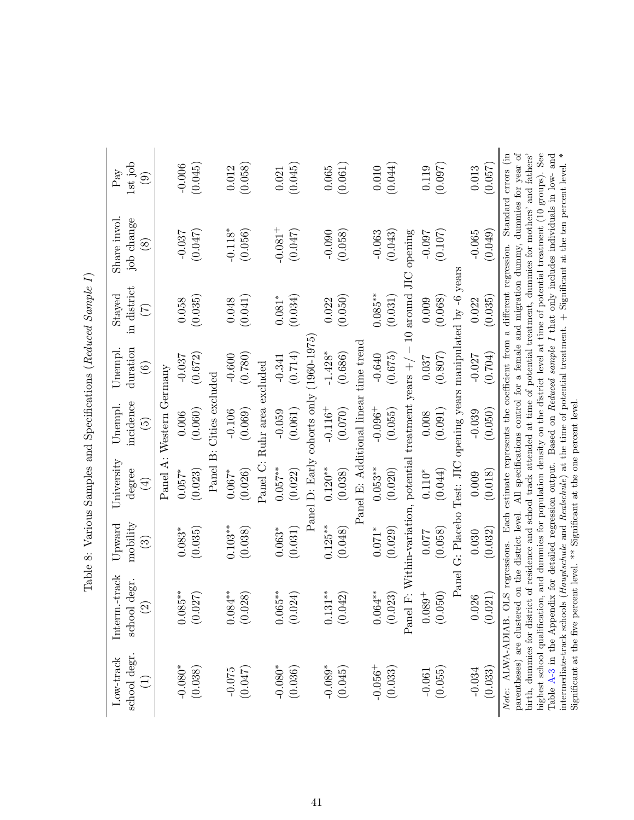| Low-track                        |                                          |                                    |                                                                           |                              |                     |                    |                             |                                     |
|----------------------------------|------------------------------------------|------------------------------------|---------------------------------------------------------------------------|------------------------------|---------------------|--------------------|-----------------------------|-------------------------------------|
|                                  | Interm.-track                            | $_{\rm Upward}$                    | University                                                                | Unempl.                      | Unempl.             | Stayed             | Share invol.                | Pay                                 |
| school degr.<br>$\left(1\right)$ | school degr.<br>$\widehat{\mathfrak{c}}$ | mobility<br>$\widehat{\mathbb{G}}$ | degree<br>$\bigoplus$                                                     | incidence<br>$\widetilde{5}$ | duration<br>$\odot$ | in district<br>(7) | job change<br>$\circledast$ | $1st$ job<br>$\widehat{\mathbf{e}}$ |
|                                  |                                          |                                    |                                                                           | Panel A: Western Germany     |                     |                    |                             |                                     |
| $-0.080*$                        | $0.085***$                               | $0.083*$                           | $0.057*$                                                                  | 0.006                        | $-0.037$            | 0.058              | $-0.037$                    | $-0.006$                            |
| (0.038)                          | (0.027)                                  | (0.035)                            | (0.023)                                                                   | (0.060)                      | (0.672)             | (0.035)            | (0.047)                     | (0.045)                             |
|                                  |                                          |                                    |                                                                           | Panel B: Cities excluded     |                     |                    |                             |                                     |
| $-0.075$                         | $0.084***$                               | $0.103**$                          | $0.067*$                                                                  | $-0.106$                     | $-0.600$            | 0.048              | $-0.118*$                   | 0.012                               |
| (0.047)                          | (0.028)                                  | (0.038)                            | (0.026)                                                                   | (0.069)                      | (0.780)             | (0.041)            | (0.056)                     | (0.058)                             |
|                                  |                                          |                                    |                                                                           | Panel C: Ruhr area excluded  |                     |                    |                             |                                     |
| $-0.080$ *                       | $0.065***$                               | $0.063*$                           | $0.057***$                                                                | $-0.059$                     | $-0.341$            | $0.081*$           | $-0.081$ <sup>+</sup>       | 0.021                               |
| (0.036)                          | (124)<br>$\sum$                          | (0.031)                            | (0.022)                                                                   | (0.061)                      | (0.714)             | (0.034)            | (0.047)                     | (0.045)                             |
|                                  |                                          |                                    | Panel D: Early cohorts only                                               |                              | $(1960 - 1975)$     |                    |                             |                                     |
| $-0.089*$                        | $0.131***$                               | $0.125***$                         | $0.120**$                                                                 | $-0.116 +$                   | $-1.428*$           | 0.022              | $-0.090$                    | 0.065                               |
| (0.045)                          | (0.042)                                  | (0.048)                            | (0.038)                                                                   | (0.070)                      | (0.686)             | (0.050)            | (0.058)                     | (0.061)                             |
|                                  |                                          |                                    | Panel E: Additional linear time trend                                     |                              |                     |                    |                             |                                     |
| $-0.056^+$                       | $0.064***$                               | $0.071*$                           | $0.053***$                                                                | $-0.096 +$                   | $-0.640$            | $0.085***$         | $-0.063$                    | 0.010                               |
| (0.033)                          | (0.023)                                  | (0.029)                            | (0.020)                                                                   | (0.055)                      | (0.675)             | (0.031)            | (0.043)                     | (0.044)                             |
|                                  | Panel                                    |                                    | F: Within-variation, potential treatment years $+/-10$ around JIC opening |                              |                     |                    |                             |                                     |
| $-0.061$                         | $0.089 +$                                | 0.077                              | $0.110^{*}$                                                               | 0.008                        | 0.037               | 0.009              | $-0.097$                    | 0.119                               |
| (0.055)                          | (0.050)                                  | (0.058)                            | (0.044)                                                                   | (0.091)                      | (0.807)             | (0.068)            | (0.107)                     | (0.097)                             |

Table 8: Various Samples and Specifications (Reduced Sample I) Table 8: Various Samples and Specifications (Reduced Sample I)

Table A-3 in the Appendix for detailed regression output. Based on Reduced sample I that only includes individuals in low- and intermediate-track schools (Hauptschule and Realschule) at the time of potential treatment.  $+$ intermediate-track schools (Hauptschule and Realschule) at the time of potential treatment. + Significant at the ten percent level. \* Note: ALWA-ADIAB. OLS regressions. Each estimate represents the coefficient from a different regression. Standard errors (in parentheses) are clustered on the district level. All specifications control for a female and migration dummy, dummies for year of birth, dummies for district of residence and school track attended at time of potential treatment, dummies for mothers' and fathers' highest school qualification, and dummies for population density on the district level at time of potential treatment (10 groups). See Note: ALWA-ADIAB. OLS regressions. Each estimate represents the coefficient from a different regression. Standard errors (in parentheses) are clustered on the district level. All specifications control for a female and migration dummy, dummies for year of highest school qualification, and dummies for population density on the district level at time of potential treatment (10 groups). See Table [A-3](#page-51-0) in the Appendix for detailed regression output. Based on Reduced sample I that only includes individuals in low- and birth, dummies for district of residence and school track attended at time of potential treatment, dummies for mothers' and fathers' Significant at the five percent level. \*\* Significant at the one percent level. Significant at the five percent level. \*\* Significant at the one percent level.

Panel G: Placebo Test: JIC opening years manipulated by -6 years -0.037 0.099 0.027 0.027 0.039 0.039 0.039 0.099 0.099 0.029 0.099 0.029 0.029 0.029 0.027 0.027 0.027 0.027 0<br>-0.022 0.027 0.027 0.027 0.029 0.099 0.099 0.099 0.099 0.029 0.029 0.029 0.029 0.029 0.029 0.027 0.027 0.027 0 (1.9010) (0.0910) (1.03010) (1.0210) (0.0910) (0.02101) (0.037010) (1.021010) (1.021010)

Panel G: Placebo Test: JIC opening years manipulated by -6 years

 $(0.057)$ 0.013

 $(0.049)$  $-0.065$ 

 $(0.035)$ 0.022

 $(0.704)$  $-0.027$ 

 $(0.050)$  $-0.039$ 

 $(0.018)$  $0.009$ 

 $(0.032)$ 0.030

 $(0.021)$ 0.026

<span id="page-42-0"></span> $(0.033)$  $-0.034$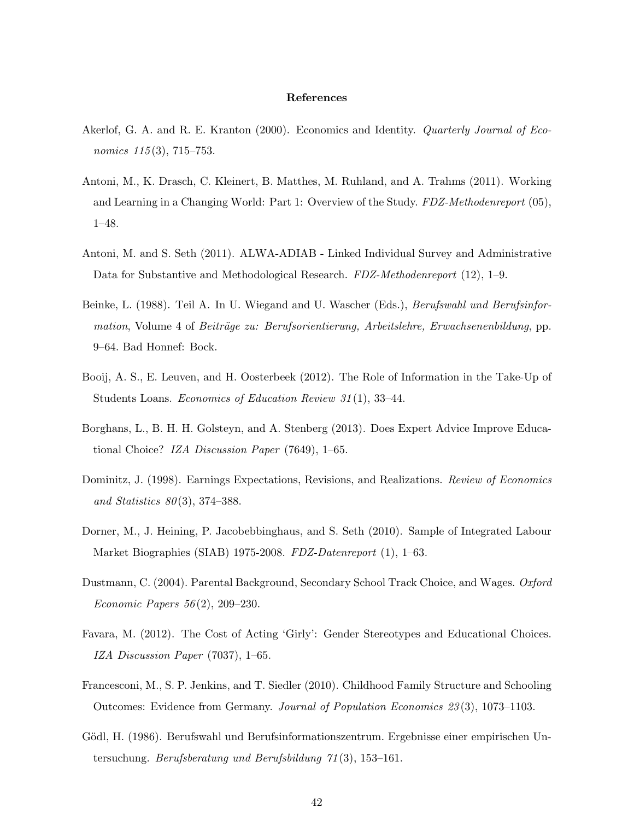### References

- <span id="page-43-1"></span>Akerlof, G. A. and R. E. Kranton (2000). Economics and Identity. *Quarterly Journal of Eco*nomics  $115(3)$ , 715–753.
- <span id="page-43-6"></span>Antoni, M., K. Drasch, C. Kleinert, B. Matthes, M. Ruhland, and A. Trahms (2011). Working and Learning in a Changing World: Part 1: Overview of the Study. FDZ-Methodenreport (05), 1–48.
- <span id="page-43-7"></span>Antoni, M. and S. Seth (2011). ALWA-ADIAB - Linked Individual Survey and Administrative Data for Substantive and Methodological Research. FDZ-Methodenreport (12), 1–9.
- <span id="page-43-5"></span>Beinke, L. (1988). Teil A. In U. Wiegand and U. Wascher (Eds.), Berufswahl und Berufsinformation, Volume 4 of Beiträge zu: Berufsorientierung, Arbeitslehre, Erwachsenenbildung, pp. 9–64. Bad Honnef: Bock.
- <span id="page-43-3"></span>Booij, A. S., E. Leuven, and H. Oosterbeek (2012). The Role of Information in the Take-Up of Students Loans. Economics of Education Review 31(1), 33-44.
- <span id="page-43-0"></span>Borghans, L., B. H. H. Golsteyn, and A. Stenberg (2013). Does Expert Advice Improve Educational Choice? IZA Discussion Paper (7649), 1–65.
- <span id="page-43-4"></span>Dominitz, J. (1998). Earnings Expectations, Revisions, and Realizations. Review of Economics and Statistics  $80(3)$ , 374–388.
- <span id="page-43-8"></span>Dorner, M., J. Heining, P. Jacobebbinghaus, and S. Seth (2010). Sample of Integrated Labour Market Biographies (SIAB) 1975-2008. FDZ-Datenreport (1), 1–63.
- <span id="page-43-9"></span>Dustmann, C. (2004). Parental Background, Secondary School Track Choice, and Wages. Oxford Economic Papers  $56(2)$ , 209–230.
- <span id="page-43-2"></span>Favara, M. (2012). The Cost of Acting 'Girly': Gender Stereotypes and Educational Choices. IZA Discussion Paper (7037), 1–65.
- <span id="page-43-10"></span>Francesconi, M., S. P. Jenkins, and T. Siedler (2010). Childhood Family Structure and Schooling Outcomes: Evidence from Germany. Journal of Population Economics 23 (3), 1073–1103.
- <span id="page-43-11"></span>Gödl, H. (1986). Berufswahl und Berufsinformationszentrum. Ergebnisse einer empirischen Untersuchung. Berufsberatung und Berufsbildung 71 (3), 153–161.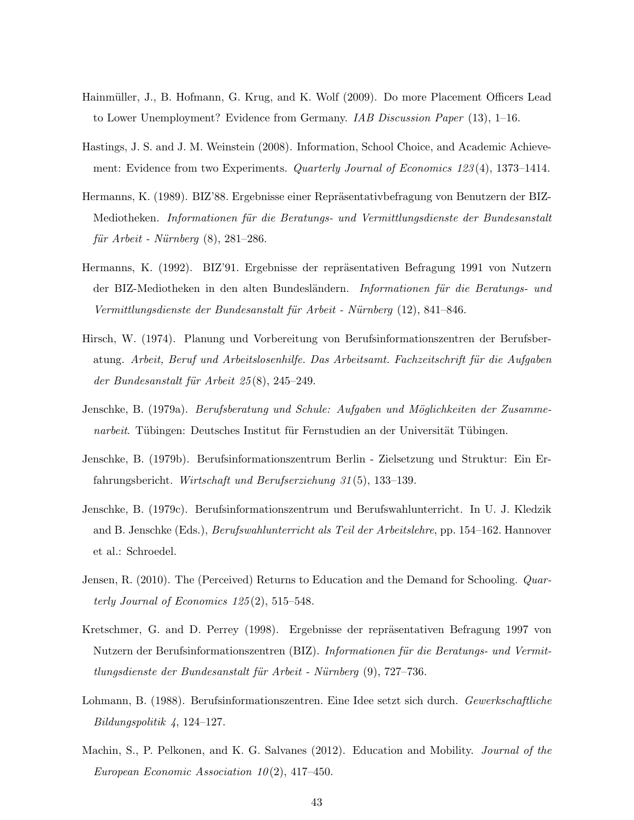- <span id="page-44-2"></span>Hainmüller, J., B. Hofmann, G. Krug, and K. Wolf (2009). Do more Placement Officers Lead to Lower Unemployment? Evidence from Germany. *IAB Discussion Paper* (13), 1–16.
- <span id="page-44-0"></span>Hastings, J. S. and J. M. Weinstein (2008). Information, School Choice, and Academic Achievement: Evidence from two Experiments. *Quarterly Journal of Economics 123*(4), 1373–1414.
- <span id="page-44-7"></span>Hermanns, K. (1989). BIZ'88. Ergebnisse einer Repräsentativbefragung von Benutzern der BIZ-Mediotheken. Informationen für die Beratungs- und Vermittlungsdienste der Bundesanstalt  $f\ddot{u}$ r Arbeit - Nürnberg  $(8)$ , 281–286.
- <span id="page-44-9"></span>Hermanns, K. (1992). BIZ'91. Ergebnisse der repräsentativen Befragung 1991 von Nutzern der BIZ-Mediotheken in den alten Bundesländern. Informationen für die Beratungs- und Vermittlungsdienste der Bundesanstalt für Arbeit - Nürnberg (12), 841–846.
- <span id="page-44-11"></span>Hirsch, W. (1974). Planung und Vorbereitung von Berufsinformationszentren der Berufsberatung. Arbeit, Beruf und Arbeitslosenhilfe. Das Arbeitsamt. Fachzeitschrift für die Aufgaben der Bundesanstalt für Arbeit  $25(8)$ , 245–249.
- <span id="page-44-8"></span>Jenschke, B. (1979a). Berufsberatung und Schule: Aufgaben und Möglichkeiten der Zusammenarbeit. Tübingen: Deutsches Institut für Fernstudien an der Universität Tübingen.
- <span id="page-44-5"></span>Jenschke, B. (1979b). Berufsinformationszentrum Berlin - Zielsetzung und Struktur: Ein Erfahrungsbericht. Wirtschaft und Berufserziehung 31 (5), 133–139.
- <span id="page-44-3"></span>Jenschke, B. (1979c). Berufsinformationszentrum und Berufswahlunterricht. In U. J. Kledzik and B. Jenschke (Eds.), Berufswahlunterricht als Teil der Arbeitslehre, pp. 154–162. Hannover et al.: Schroedel.
- <span id="page-44-1"></span>Jensen, R. (2010). The (Perceived) Returns to Education and the Demand for Schooling. Quarterly Journal of Economics  $125(2)$ , 515–548.
- <span id="page-44-4"></span>Kretschmer, G. and D. Perrey (1998). Ergebnisse der repräsentativen Befragung 1997 von Nutzern der Berufsinformationszentren (BIZ). Informationen für die Beratungs- und Vermit $t$ lungsdienste der Bundesanstalt für Arbeit - Nürnberg  $(9)$ , 727–736.
- <span id="page-44-6"></span>Lohmann, B. (1988). Berufsinformationszentren. Eine Idee setzt sich durch. Gewerkschaftliche Bildungspolitik 4, 124–127.
- <span id="page-44-10"></span>Machin, S., P. Pelkonen, and K. G. Salvanes (2012). Education and Mobility. *Journal of the* European Economic Association  $10(2)$ , 417-450.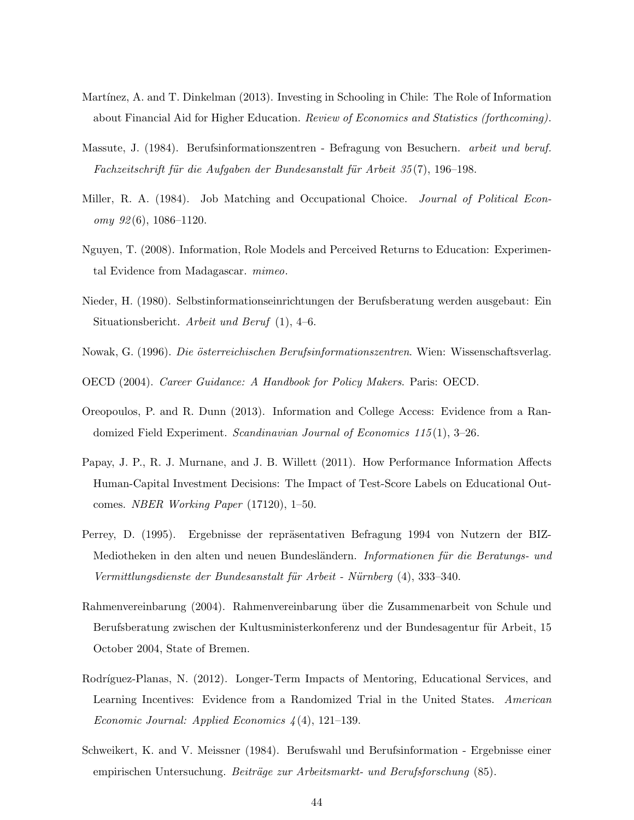- <span id="page-45-5"></span>Martínez, A. and T. Dinkelman (2013). Investing in Schooling in Chile: The Role of Information about Financial Aid for Higher Education. Review of Economics and Statistics (forthcoming).
- <span id="page-45-7"></span>Massute, J. (1984). Berufsinformationszentren - Befragung von Besuchern. arbeit und beruf. Fachzeitschrift für die Aufgaben der Bundesanstalt für Arbeit 35(7), 196–198.
- <span id="page-45-1"></span>Miller, R. A. (1984). Job Matching and Occupational Choice. *Journal of Political Econ* $omy \; 92(6), \; 1086-1120.$
- <span id="page-45-6"></span>Nguyen, T. (2008). Information, Role Models and Perceived Returns to Education: Experimental Evidence from Madagascar. mimeo.
- <span id="page-45-11"></span>Nieder, H. (1980). Selbstinformationseinrichtungen der Berufsberatung werden ausgebaut: Ein Situationsbericht. Arbeit und Beruf (1), 4–6.
- <span id="page-45-12"></span>Nowak, G. (1996). Die österreichischen Berufsinformationszentren. Wien: Wissenschaftsverlag.
- <span id="page-45-0"></span>OECD (2004). Career Guidance: A Handbook for Policy Makers. Paris: OECD.
- <span id="page-45-4"></span>Oreopoulos, P. and R. Dunn (2013). Information and College Access: Evidence from a Randomized Field Experiment. Scandinavian Journal of Economics  $115(1)$ , 3-26.
- <span id="page-45-2"></span>Papay, J. P., R. J. Murnane, and J. B. Willett (2011). How Performance Information Affects Human-Capital Investment Decisions: The Impact of Test-Score Labels on Educational Outcomes. NBER Working Paper (17120), 1–50.
- <span id="page-45-9"></span>Perrey, D. (1995). Ergebnisse der repräsentativen Befragung 1994 von Nutzern der BIZ-Mediotheken in den alten und neuen Bundesländern. Informationen für die Beratungs- und Vermittlungsdienste der Bundesanstalt für Arbeit - Nürnberg (4), 333–340.
- <span id="page-45-10"></span>Rahmenvereinbarung (2004). Rahmenvereinbarung über die Zusammenarbeit von Schule und Berufsberatung zwischen der Kultusministerkonferenz und der Bundesagentur für Arbeit, 15 October 2004, State of Bremen.
- <span id="page-45-3"></span>Rodríguez-Planas, N. (2012). Longer-Term Impacts of Mentoring, Educational Services, and Learning Incentives: Evidence from a Randomized Trial in the United States. American Economic Journal: Applied Economics  $\frac{1}{4}(4)$ , 121–139.
- <span id="page-45-8"></span>Schweikert, K. and V. Meissner (1984). Berufswahl und Berufsinformation - Ergebnisse einer empirischen Untersuchung. Beiträge zur Arbeitsmarkt- und Berufsforschung (85).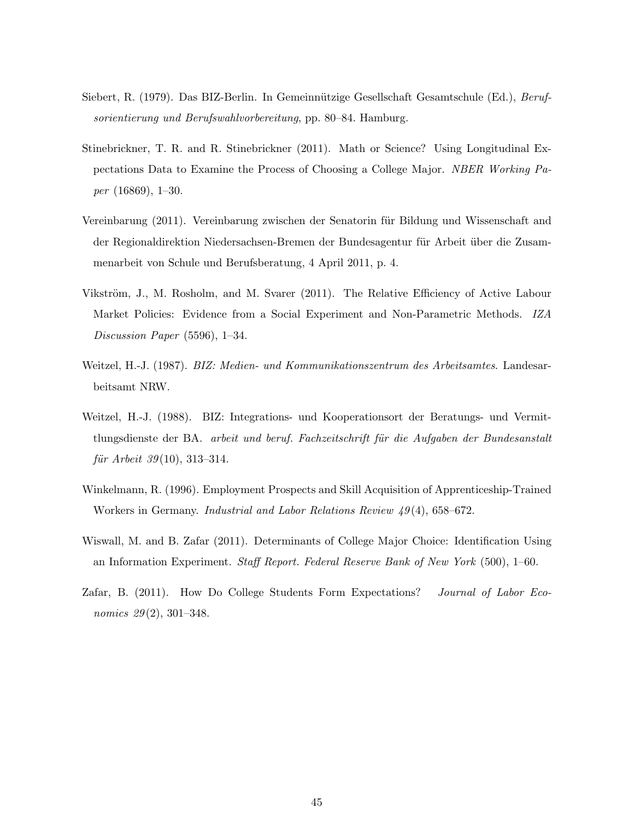- <span id="page-46-7"></span>Siebert, R. (1979). Das BIZ-Berlin. In Gemeinnützige Gesellschaft Gesamtschule (Ed.), Berufsorientierung und Berufswahlvorbereitung, pp. 80–84. Hamburg.
- <span id="page-46-1"></span>Stinebrickner, T. R. and R. Stinebrickner (2011). Math or Science? Using Longitudinal Expectations Data to Examine the Process of Choosing a College Major. NBER Working Paper (16869), 1–30.
- <span id="page-46-6"></span>Vereinbarung (2011). Vereinbarung zwischen der Senatorin für Bildung und Wissenschaft and der Regionaldirektion Niedersachsen-Bremen der Bundesagentur für Arbeit über die Zusammenarbeit von Schule und Berufsberatung, 4 April 2011, p. 4.
- <span id="page-46-3"></span>Vikström, J., M. Rosholm, and M. Svarer (2011). The Relative Efficiency of Active Labour Market Policies: Evidence from a Social Experiment and Non-Parametric Methods. IZA Discussion Paper (5596), 1–34.
- <span id="page-46-5"></span>Weitzel, H.-J. (1987). BIZ: Medien- und Kommunikationszentrum des Arbeitsamtes. Landesarbeitsamt NRW.
- <span id="page-46-4"></span>Weitzel, H.-J. (1988). BIZ: Integrations- und Kooperationsort der Beratungs- und Vermittlungsdienste der BA. arbeit und beruf. Fachzeitschrift für die Aufgaben der Bundesanstalt  $f\ddot{u}$ r Arbeit 39(10), 313–314.
- <span id="page-46-8"></span>Winkelmann, R. (1996). Employment Prospects and Skill Acquisition of Apprenticeship-Trained Workers in Germany. *Industrial and Labor Relations Review 49*(4), 658–672.
- <span id="page-46-2"></span>Wiswall, M. and B. Zafar (2011). Determinants of College Major Choice: Identification Using an Information Experiment. Staff Report. Federal Reserve Bank of New York (500), 1–60.
- <span id="page-46-0"></span>Zafar, B. (2011). How Do College Students Form Expectations? Journal of Labor Economics  $29(2)$ , 301–348.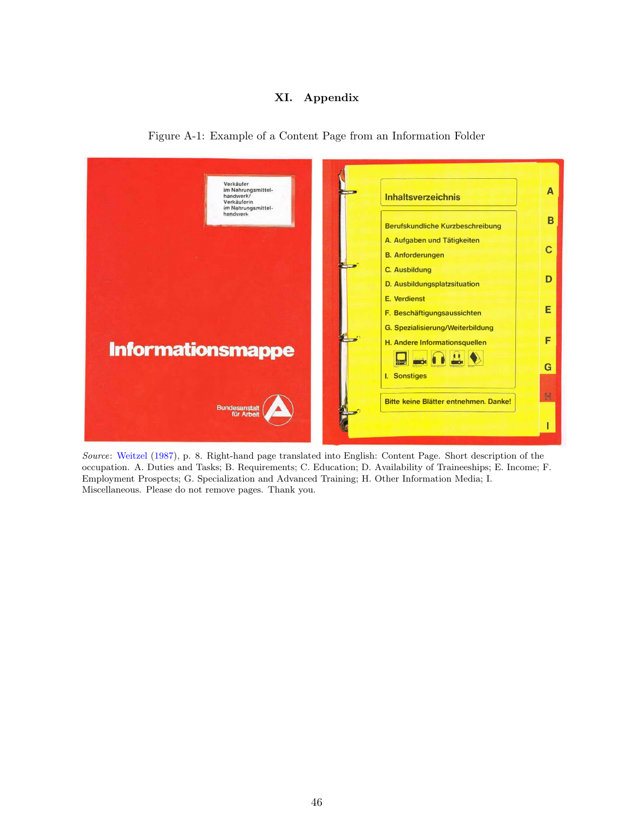### XI. Appendix

<span id="page-47-0"></span>

Figure A-1: Example of a Content Page from an Information Folder

Source: [Weitzel](#page-46-5) [\(1987\)](#page-46-5), p. 8. Right-hand page translated into English: Content Page. Short description of the occupation. A. Duties and Tasks; B. Requirements; C. Education; D. Availability of Traineeships; E. Income; F. Employment Prospects; G. Specialization and Advanced Training; H. Other Information Media; I. Miscellaneous. Please do not remove pages. Thank you.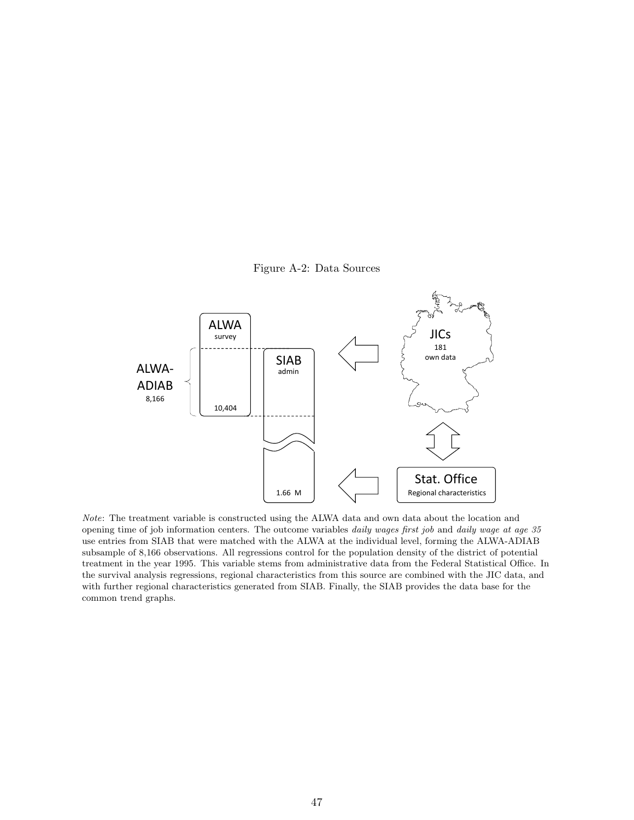

<span id="page-48-0"></span>

Note: The treatment variable is constructed using the ALWA data and own data about the location and opening time of job information centers. The outcome variables daily wages first job and daily wage at age 35 use entries from SIAB that were matched with the ALWA at the individual level, forming the ALWA-ADIAB subsample of 8,166 observations. All regressions control for the population density of the district of potential treatment in the year 1995. This variable stems from administrative data from the Federal Statistical Office. In the survival analysis regressions, regional characteristics from this source are combined with the JIC data, and with further regional characteristics generated from SIAB. Finally, the SIAB provides the data base for the common trend graphs.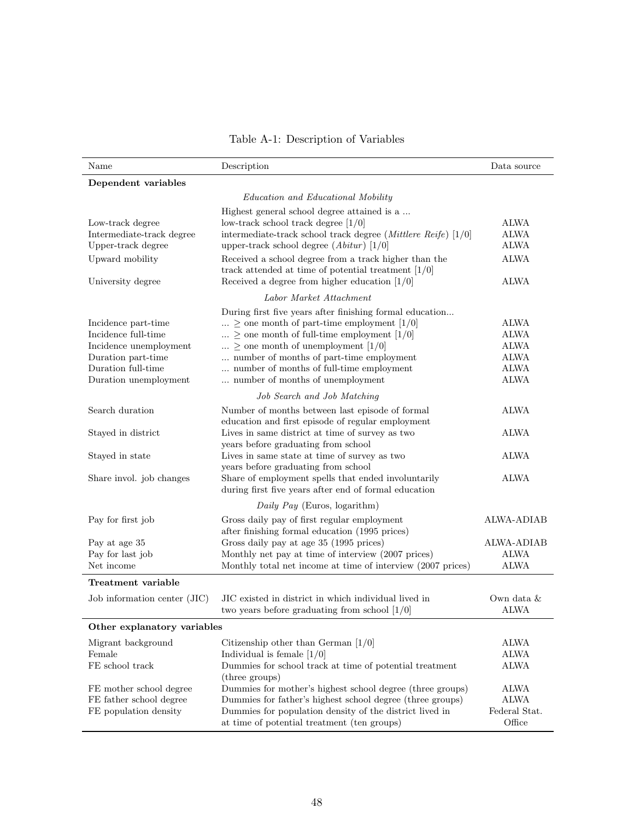|  |  | Table A-1: Description of Variables |
|--|--|-------------------------------------|
|--|--|-------------------------------------|

<span id="page-49-0"></span>

| Name                                                                                                                                      | Description                                                                                                                                                                                                                                                                                                                                                                            | Data source                                                                            |
|-------------------------------------------------------------------------------------------------------------------------------------------|----------------------------------------------------------------------------------------------------------------------------------------------------------------------------------------------------------------------------------------------------------------------------------------------------------------------------------------------------------------------------------------|----------------------------------------------------------------------------------------|
| Dependent variables                                                                                                                       |                                                                                                                                                                                                                                                                                                                                                                                        |                                                                                        |
|                                                                                                                                           | Education and Educational Mobility                                                                                                                                                                                                                                                                                                                                                     |                                                                                        |
| Low-track degree<br>Intermediate-track degree<br>Upper-track degree<br>Upward mobility<br>University degree                               | Highest general school degree attained is a<br>low-track school track degree $[1/0]$<br>intermediate-track school track degree ( <i>Mittlere Reife</i> ) $[1/0]$<br>upper-track school degree ( $A bitur$ ) [1/0]<br>Received a school degree from a track higher than the<br>track attended at time of potential treatment $[1/0]$<br>Received a degree from higher education $[1/0]$ | <b>ALWA</b><br>ALWA<br><b>ALWA</b><br><b>ALWA</b><br><b>ALWA</b>                       |
|                                                                                                                                           | Labor Market Attachment                                                                                                                                                                                                                                                                                                                                                                |                                                                                        |
| Incidence part-time<br>Incidence full-time<br>Incidence unemployment<br>Duration part-time<br>Duration full-time<br>Duration unemployment | During first five years after finishing formal education<br>$\ldots \geq$ one month of part-time employment [1/0]<br>$\geq$ one month of full-time employment [1/0]<br>$\geq$ one month of unemployment [1/0]<br>number of months of part-time employment<br>$\ldots$ number of months of full-time employment<br>number of months of unemployment                                     | <b>ALWA</b><br><b>ALWA</b><br><b>ALWA</b><br><b>ALWA</b><br><b>ALWA</b><br><b>ALWA</b> |
|                                                                                                                                           | Job Search and Job Matching                                                                                                                                                                                                                                                                                                                                                            |                                                                                        |
| Search duration                                                                                                                           | Number of months between last episode of formal<br>education and first episode of regular employment                                                                                                                                                                                                                                                                                   | ALWA                                                                                   |
| Stayed in district                                                                                                                        | Lives in same district at time of survey as two<br>years before graduating from school                                                                                                                                                                                                                                                                                                 | <b>ALWA</b>                                                                            |
| Stayed in state                                                                                                                           | Lives in same state at time of survey as two<br>years before graduating from school                                                                                                                                                                                                                                                                                                    | <b>ALWA</b>                                                                            |
| Share invol. job changes                                                                                                                  | Share of employment spells that ended involuntarily<br>during first five years after end of formal education                                                                                                                                                                                                                                                                           | <b>ALWA</b>                                                                            |
|                                                                                                                                           | Daily Pay (Euros, logarithm)                                                                                                                                                                                                                                                                                                                                                           |                                                                                        |
| Pay for first job<br>Pay at age 35<br>Pay for last job                                                                                    | Gross daily pay of first regular employment<br>after finishing formal education (1995 prices)<br>Gross daily pay at age 35 (1995 prices)<br>Monthly net pay at time of interview (2007 prices)                                                                                                                                                                                         | <b>ALWA-ADIAB</b><br><b>ALWA-ADIAB</b><br><b>ALWA</b>                                  |
| Net income                                                                                                                                | Monthly total net income at time of interview (2007 prices)                                                                                                                                                                                                                                                                                                                            | <b>ALWA</b>                                                                            |
| Treatment variable                                                                                                                        |                                                                                                                                                                                                                                                                                                                                                                                        |                                                                                        |
| Job information center (JIC)                                                                                                              | JIC existed in district in which individual lived in<br>two years before graduating from school $[1/0]$                                                                                                                                                                                                                                                                                | Own data &<br><b>ALWA</b>                                                              |
| Other explanatory variables                                                                                                               |                                                                                                                                                                                                                                                                                                                                                                                        |                                                                                        |
| Migrant background<br>Female<br>FE school track                                                                                           | Citizenship other than German $[1/0]$<br>Individual is female $[1/0]$<br>Dummies for school track at time of potential treatment                                                                                                                                                                                                                                                       | ALWA<br><b>ALWA</b><br>ALWA                                                            |
| FE mother school degree<br>FE father school degree<br>FE population density                                                               | (three groups)<br>Dummies for mother's highest school degree (three groups)<br>Dummies for father's highest school degree (three groups)<br>Dummies for population density of the district lived in<br>at time of potential treatment (ten groups)                                                                                                                                     | ALWA<br>ALWA<br>Federal Stat.<br>Office                                                |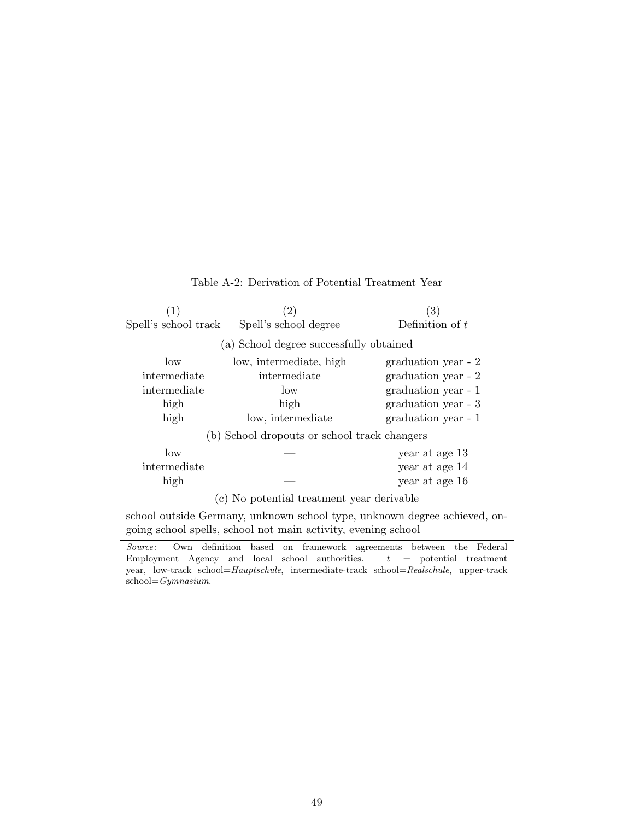<span id="page-50-0"></span>

|                      | $\left( 2\right)$                            | (3)                 |
|----------------------|----------------------------------------------|---------------------|
| Spell's school track | Spell's school degree                        | Definition of $t$   |
|                      | (a) School degree successfully obtained      |                     |
| $\log$               | low, intermediate, high                      | graduation year - 2 |
| intermediate         | intermediate                                 | graduation year - 2 |
| intermediate         | low                                          | graduation year - 1 |
| high                 | high                                         | graduation year - 3 |
| high                 | low, intermediate                            | graduation year - 1 |
|                      | (b) School dropouts or school track changers |                     |
| $\log$               |                                              | year at age 13      |
| intermediate         |                                              | year at age 14      |
| high                 |                                              | year at age 16      |
|                      | No potential treatment year derivable        |                     |

Table A-2: Derivation of Potential Treatment Year

school outside Germany, unknown school type, unknown degree achieved, ongoing school spells, school not main activity, evening school

Source: Own definition based on framework agreements between the Federal Employment Agency and local school authorities.  $t =$  potential treatment year, low-track school=Hauptschule, intermediate-track school=Realschule, upper-track school=Gymnasium.